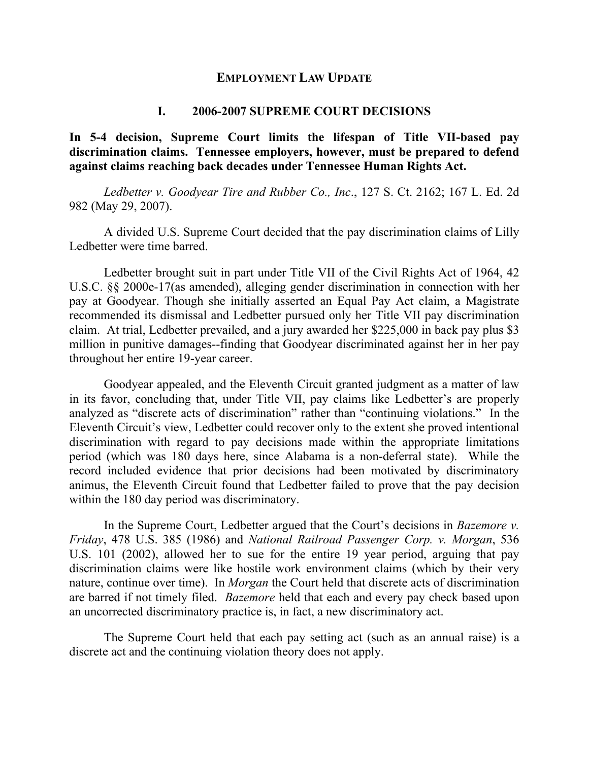#### **EMPLOYMENT LAW UPDATE**

#### **I. 2006-2007 SUPREME COURT DECISIONS**

**In 5-4 decision, Supreme Court limits the lifespan of Title VII-based pay discrimination claims. Tennessee employers, however, must be prepared to defend against claims reaching back decades under Tennessee Human Rights Act.** 

*Ledbetter v. Goodyear Tire and Rubber Co., Inc*., 127 S. Ct. 2162; 167 L. Ed. 2d 982 (May 29, 2007).

A divided U.S. Supreme Court decided that the pay discrimination claims of Lilly Ledbetter were time barred.

Ledbetter brought suit in part under Title VII of the Civil Rights Act of 1964, 42 U.S.C. §§ 2000e-17(as amended), alleging gender discrimination in connection with her pay at Goodyear. Though she initially asserted an Equal Pay Act claim, a Magistrate recommended its dismissal and Ledbetter pursued only her Title VII pay discrimination claim. At trial, Ledbetter prevailed, and a jury awarded her \$225,000 in back pay plus \$3 million in punitive damages--finding that Goodyear discriminated against her in her pay throughout her entire 19-year career.

Goodyear appealed, and the Eleventh Circuit granted judgment as a matter of law in its favor, concluding that, under Title VII, pay claims like Ledbetter's are properly analyzed as "discrete acts of discrimination" rather than "continuing violations." In the Eleventh Circuit's view, Ledbetter could recover only to the extent she proved intentional discrimination with regard to pay decisions made within the appropriate limitations period (which was 180 days here, since Alabama is a non-deferral state). While the record included evidence that prior decisions had been motivated by discriminatory animus, the Eleventh Circuit found that Ledbetter failed to prove that the pay decision within the 180 day period was discriminatory.

In the Supreme Court, Ledbetter argued that the Court's decisions in *Bazemore v. Friday*, 478 U.S. 385 (1986) and *National Railroad Passenger Corp. v. Morgan*, 536 U.S. 101 (2002), allowed her to sue for the entire 19 year period, arguing that pay discrimination claims were like hostile work environment claims (which by their very nature, continue over time). In *Morgan* the Court held that discrete acts of discrimination are barred if not timely filed. *Bazemore* held that each and every pay check based upon an uncorrected discriminatory practice is, in fact, a new discriminatory act.

The Supreme Court held that each pay setting act (such as an annual raise) is a discrete act and the continuing violation theory does not apply.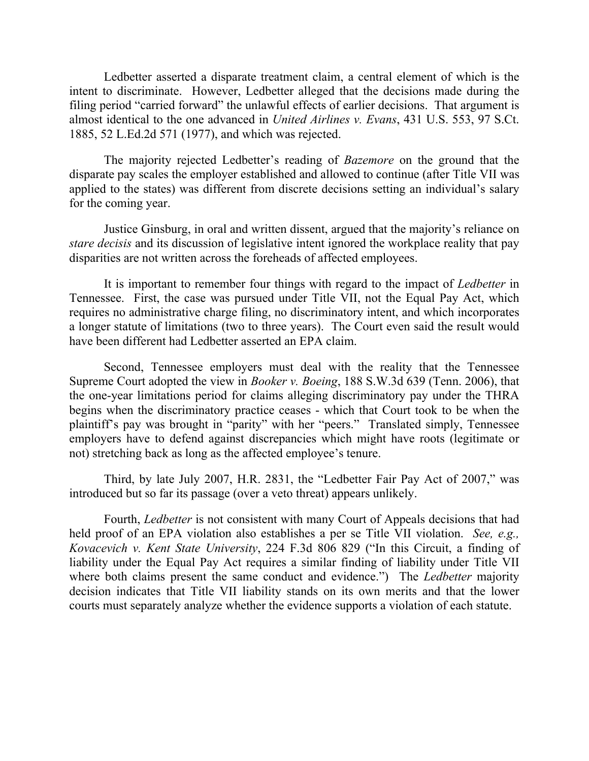Ledbetter asserted a disparate treatment claim, a central element of which is the intent to discriminate. However, Ledbetter alleged that the decisions made during the filing period "carried forward" the unlawful effects of earlier decisions. That argument is almost identical to the one advanced in *United Airlines v. Evans*, 431 U.S. 553, 97 S.Ct. 1885, 52 L.Ed.2d 571 (1977), and which was rejected.

The majority rejected Ledbetter's reading of *Bazemore* on the ground that the disparate pay scales the employer established and allowed to continue (after Title VII was applied to the states) was different from discrete decisions setting an individual's salary for the coming year.

Justice Ginsburg, in oral and written dissent, argued that the majority's reliance on *stare decisis* and its discussion of legislative intent ignored the workplace reality that pay disparities are not written across the foreheads of affected employees.

It is important to remember four things with regard to the impact of *Ledbetter* in Tennessee. First, the case was pursued under Title VII, not the Equal Pay Act, which requires no administrative charge filing, no discriminatory intent, and which incorporates a longer statute of limitations (two to three years). The Court even said the result would have been different had Ledbetter asserted an EPA claim.

Second, Tennessee employers must deal with the reality that the Tennessee Supreme Court adopted the view in *Booker v. Boeing*, 188 S.W.3d 639 (Tenn. 2006), that the one-year limitations period for claims alleging discriminatory pay under the THRA begins when the discriminatory practice ceases - which that Court took to be when the plaintiff's pay was brought in "parity" with her "peers." Translated simply, Tennessee employers have to defend against discrepancies which might have roots (legitimate or not) stretching back as long as the affected employee's tenure.

Third, by late July 2007, H.R. 2831, the "Ledbetter Fair Pay Act of 2007," was introduced but so far its passage (over a veto threat) appears unlikely.

Fourth, *Ledbetter* is not consistent with many Court of Appeals decisions that had held proof of an EPA violation also establishes a per se Title VII violation. *See, e.g., Kovacevich v. Kent State University*, 224 F.3d 806 829 ("In this Circuit, a finding of liability under the Equal Pay Act requires a similar finding of liability under Title VII where both claims present the same conduct and evidence.") The *Ledbetter* majority decision indicates that Title VII liability stands on its own merits and that the lower courts must separately analyze whether the evidence supports a violation of each statute.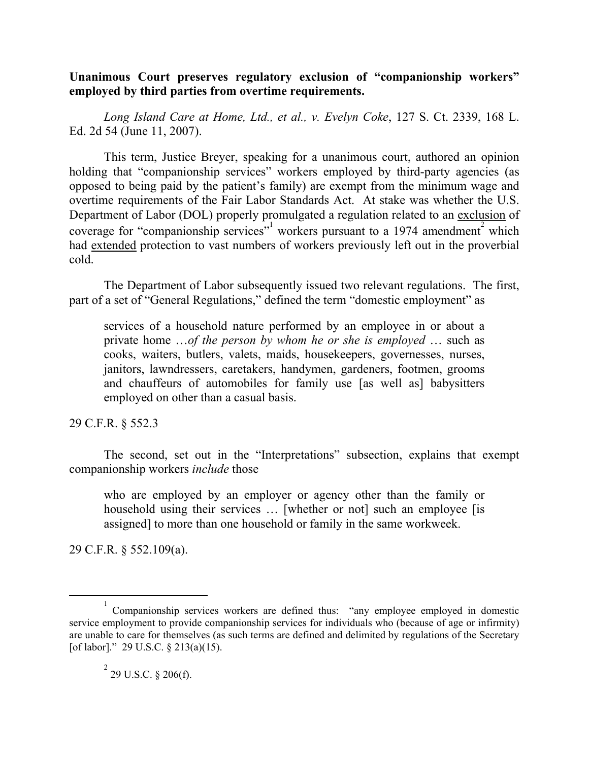# **Unanimous Court preserves regulatory exclusion of "companionship workers" employed by third parties from overtime requirements.**

*Long Island Care at Home, Ltd., et al., v. Evelyn Coke*, 127 S. Ct. 2339, 168 L. Ed. 2d 54 (June 11, 2007).

This term, Justice Breyer, speaking for a unanimous court, authored an opinion holding that "companionship services" workers employed by third-party agencies (as opposed to being paid by the patient's family) are exempt from the minimum wage and overtime requirements of the Fair Labor Standards Act. At stake was whether the U.S. Department of Labor (DOL) properly promulgated a regulation related to an exclusion of coverage for "companionship services" workers pursuant to a 1974 amendment which had extended protection to vast numbers of workers previously left out in the proverbial cold.

The Department of Labor subsequently issued two relevant regulations. The first, part of a set of "General Regulations," defined the term "domestic employment" as

services of a household nature performed by an employee in or about a private home …*of the person by whom he or she is employed* … such as cooks, waiters, butlers, valets, maids, housekeepers, governesses, nurses, janitors, lawndressers, caretakers, handymen, gardeners, footmen, grooms and chauffeurs of automobiles for family use [as well as] babysitters employed on other than a casual basis.

29 C.F.R. § 552.3

The second, set out in the "Interpretations" subsection, explains that exempt companionship workers *include* those

who are employed by an employer or agency other than the family or household using their services ... [whether or not] such an employee [is assigned] to more than one household or family in the same workweek.

29 C.F.R. § 552.109(a).

 $\frac{1}{1}$  Companionship services workers are defined thus: "any employee employed in domestic service employment to provide companionship services for individuals who (because of age or infirmity) are unable to care for themselves (as such terms are defined and delimited by regulations of the Secretary [of labor]." 29 U.S.C. § 213(a)(15).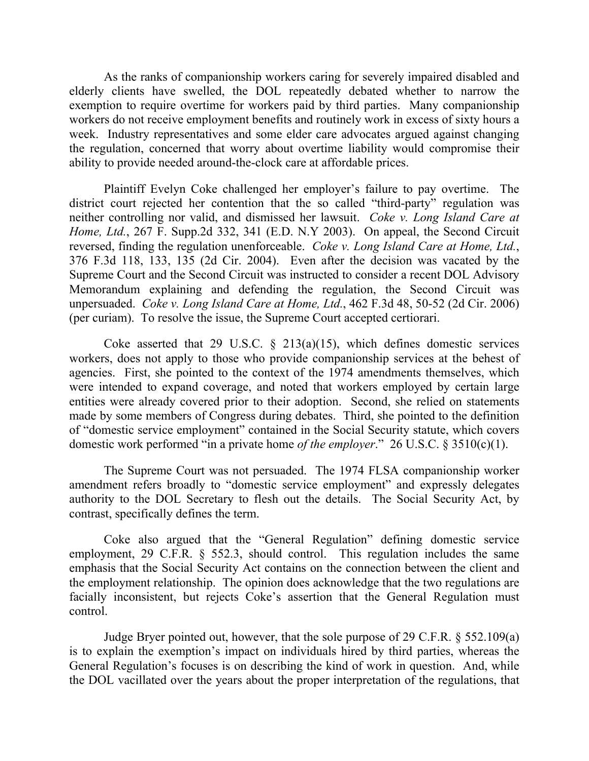As the ranks of companionship workers caring for severely impaired disabled and elderly clients have swelled, the DOL repeatedly debated whether to narrow the exemption to require overtime for workers paid by third parties. Many companionship workers do not receive employment benefits and routinely work in excess of sixty hours a week. Industry representatives and some elder care advocates argued against changing the regulation, concerned that worry about overtime liability would compromise their ability to provide needed around-the-clock care at affordable prices.

Plaintiff Evelyn Coke challenged her employer's failure to pay overtime. The district court rejected her contention that the so called "third-party" regulation was neither controlling nor valid, and dismissed her lawsuit. *Coke v. Long Island Care at Home, Ltd.*, 267 F. Supp.2d 332, 341 (E.D. N.Y 2003). On appeal, the Second Circuit reversed, finding the regulation unenforceable. *Coke v. Long Island Care at Home, Ltd.*, 376 F.3d 118, 133, 135 (2d Cir. 2004). Even after the decision was vacated by the Supreme Court and the Second Circuit was instructed to consider a recent DOL Advisory Memorandum explaining and defending the regulation, the Second Circuit was unpersuaded. *Coke v. Long Island Care at Home, Ltd.*, 462 F.3d 48, 50-52 (2d Cir. 2006) (per curiam). To resolve the issue, the Supreme Court accepted certiorari.

Coke asserted that 29 U.S.C.  $\S$  213(a)(15), which defines domestic services workers, does not apply to those who provide companionship services at the behest of agencies. First, she pointed to the context of the 1974 amendments themselves, which were intended to expand coverage, and noted that workers employed by certain large entities were already covered prior to their adoption. Second, she relied on statements made by some members of Congress during debates. Third, she pointed to the definition of "domestic service employment" contained in the Social Security statute, which covers domestic work performed "in a private home *of the employer*." 26 U.S.C. § 3510(c)(1).

The Supreme Court was not persuaded. The 1974 FLSA companionship worker amendment refers broadly to "domestic service employment" and expressly delegates authority to the DOL Secretary to flesh out the details. The Social Security Act, by contrast, specifically defines the term.

Coke also argued that the "General Regulation" defining domestic service employment, 29 C.F.R. § 552.3, should control. This regulation includes the same emphasis that the Social Security Act contains on the connection between the client and the employment relationship. The opinion does acknowledge that the two regulations are facially inconsistent, but rejects Coke's assertion that the General Regulation must control.

Judge Bryer pointed out, however, that the sole purpose of 29 C.F.R. § 552.109(a) is to explain the exemption's impact on individuals hired by third parties, whereas the General Regulation's focuses is on describing the kind of work in question. And, while the DOL vacillated over the years about the proper interpretation of the regulations, that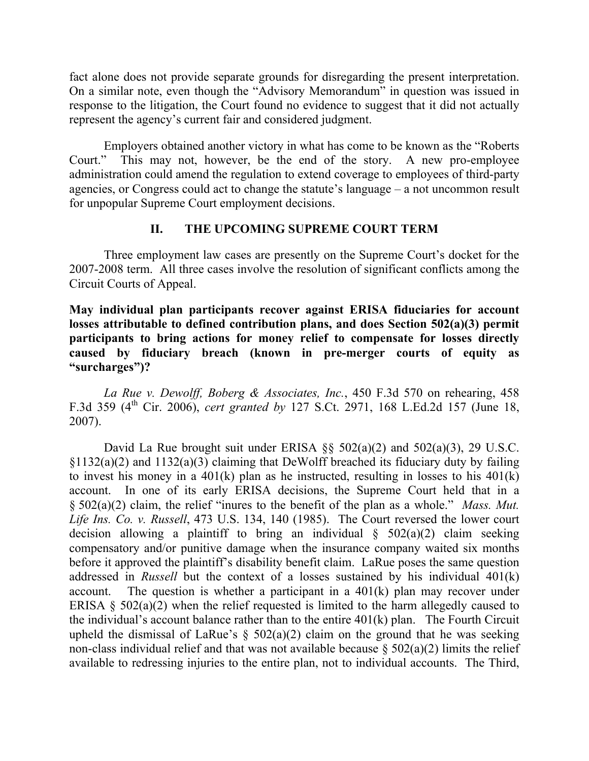fact alone does not provide separate grounds for disregarding the present interpretation. On a similar note, even though the "Advisory Memorandum" in question was issued in response to the litigation, the Court found no evidence to suggest that it did not actually represent the agency's current fair and considered judgment.

Employers obtained another victory in what has come to be known as the "Roberts Court." This may not, however, be the end of the story. A new pro-employee administration could amend the regulation to extend coverage to employees of third-party agencies, or Congress could act to change the statute's language – a not uncommon result for unpopular Supreme Court employment decisions.

# **II. THE UPCOMING SUPREME COURT TERM**

Three employment law cases are presently on the Supreme Court's docket for the 2007-2008 term. All three cases involve the resolution of significant conflicts among the Circuit Courts of Appeal.

**May individual plan participants recover against ERISA fiduciaries for account losses attributable to defined contribution plans, and does Section 502(a)(3) permit participants to bring actions for money relief to compensate for losses directly caused by fiduciary breach (known in pre-merger courts of equity as "surcharges")?** 

*La Rue v. Dewolff, Boberg & Associates, Inc.*, 450 F.3d 570 on rehearing, 458 F.3d 359 (4th Cir. 2006), *cert granted by* 127 S.Ct. 2971, 168 L.Ed.2d 157 (June 18, 2007).

David La Rue brought suit under ERISA §§ 502(a)(2) and 502(a)(3), 29 U.S.C.  $§1132(a)(2)$  and  $1132(a)(3)$  claiming that DeWolff breached its fiduciary duty by failing to invest his money in a  $401(k)$  plan as he instructed, resulting in losses to his  $401(k)$ account. In one of its early ERISA decisions, the Supreme Court held that in a § 502(a)(2) claim, the relief "inures to the benefit of the plan as a whole." *Mass. Mut. Life Ins. Co. v. Russell*, 473 U.S. 134, 140 (1985). The Court reversed the lower court decision allowing a plaintiff to bring an individual  $\S$  502(a)(2) claim seeking compensatory and/or punitive damage when the insurance company waited six months before it approved the plaintiff's disability benefit claim. LaRue poses the same question addressed in *Russell* but the context of a losses sustained by his individual 401(k) account. The question is whether a participant in a 401(k) plan may recover under ERISA  $\S$  502(a)(2) when the relief requested is limited to the harm allegedly caused to the individual's account balance rather than to the entire 401(k) plan. The Fourth Circuit upheld the dismissal of LaRue's  $\S$  502(a)(2) claim on the ground that he was seeking non-class individual relief and that was not available because  $\S 502(a)(2)$  limits the relief available to redressing injuries to the entire plan, not to individual accounts. The Third,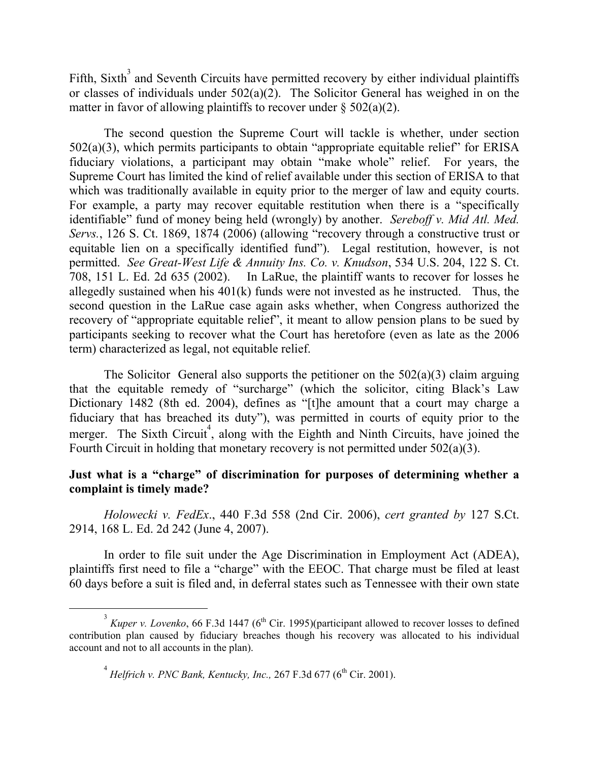Fifth, Sixth<sup>3</sup> and Seventh Circuits have permitted recovery by either individual plaintiffs or classes of individuals under 502(a)(2). The Solicitor General has weighed in on the matter in favor of allowing plaintiffs to recover under  $\S$  502(a)(2).

The second question the Supreme Court will tackle is whether, under section 502(a)(3), which permits participants to obtain "appropriate equitable relief" for ERISA fiduciary violations, a participant may obtain "make whole" relief. For years, the Supreme Court has limited the kind of relief available under this section of ERISA to that which was traditionally available in equity prior to the merger of law and equity courts. For example, a party may recover equitable restitution when there is a "specifically identifiable" fund of money being held (wrongly) by another. *Sereboff v. Mid Atl. Med. Servs.*, 126 S. Ct. 1869, 1874 (2006) (allowing "recovery through a constructive trust or equitable lien on a specifically identified fund"). Legal restitution, however, is not permitted. *See Great-West Life & Annuity Ins. Co. v. Knudson*, 534 U.S. 204, 122 S. Ct. 708, 151 L. Ed. 2d 635 (2002). In LaRue, the plaintiff wants to recover for losses he allegedly sustained when his 401(k) funds were not invested as he instructed. Thus, the second question in the LaRue case again asks whether, when Congress authorized the recovery of "appropriate equitable relief", it meant to allow pension plans to be sued by participants seeking to recover what the Court has heretofore (even as late as the 2006 term) characterized as legal, not equitable relief.

The Solicitor General also supports the petitioner on the  $502(a)(3)$  claim arguing that the equitable remedy of "surcharge" (which the solicitor, citing Black's Law Dictionary 1482 (8th ed. 2004), defines as "[t]he amount that a court may charge a fiduciary that has breached its duty"), was permitted in courts of equity prior to the merger. The Sixth Circuit<sup>4</sup>, along with the Eighth and Ninth Circuits, have joined the Fourth Circuit in holding that monetary recovery is not permitted under 502(a)(3).

### **Just what is a "charge" of discrimination for purposes of determining whether a complaint is timely made?**

*Holowecki v. FedEx*., 440 F.3d 558 (2nd Cir. 2006), *cert granted by* 127 S.Ct. 2914, 168 L. Ed. 2d 242 (June 4, 2007).

In order to file suit under the Age Discrimination in Employment Act (ADEA), plaintiffs first need to file a "charge" with the EEOC. That charge must be filed at least 60 days before a suit is filed and, in deferral states such as Tennessee with their own state

 $\frac{1}{3}$  $3$  Kuper v. Lovenko, 66 F.3d 1447 (6<sup>th</sup> Cir. 1995)(participant allowed to recover losses to defined contribution plan caused by fiduciary breaches though his recovery was allocated to his individual account and not to all accounts in the plan).

 $^{4}$  Helfrich v. PNC Bank, Kentucky, Inc., 267 F.3d 677 (6<sup>th</sup> Cir. 2001).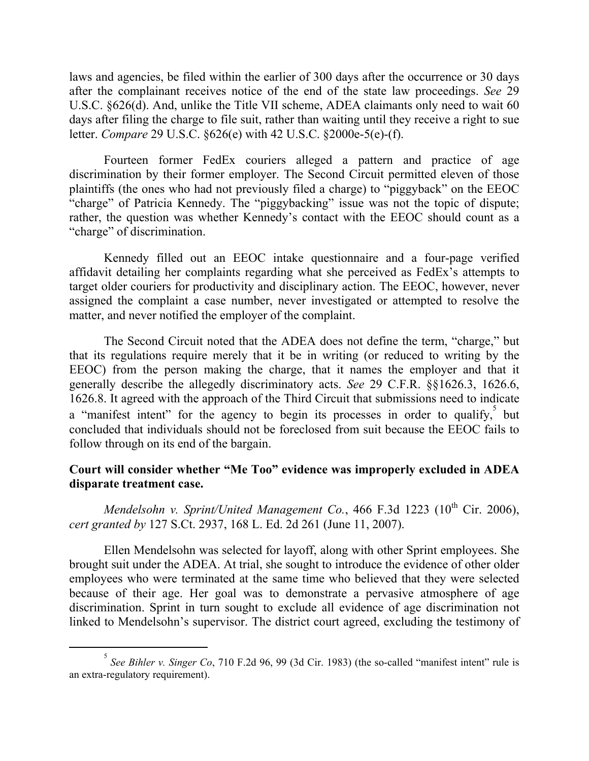laws and agencies, be filed within the earlier of 300 days after the occurrence or 30 days after the complainant receives notice of the end of the state law proceedings. *See* 29 U.S.C. §626(d). And, unlike the Title VII scheme, ADEA claimants only need to wait 60 days after filing the charge to file suit, rather than waiting until they receive a right to sue letter. *Compare* 29 U.S.C. §626(e) with 42 U.S.C. §2000e-5(e)-(f).

Fourteen former FedEx couriers alleged a pattern and practice of age discrimination by their former employer. The Second Circuit permitted eleven of those plaintiffs (the ones who had not previously filed a charge) to "piggyback" on the EEOC "charge" of Patricia Kennedy. The "piggybacking" issue was not the topic of dispute; rather, the question was whether Kennedy's contact with the EEOC should count as a "charge" of discrimination.

Kennedy filled out an EEOC intake questionnaire and a four-page verified affidavit detailing her complaints regarding what she perceived as FedEx's attempts to target older couriers for productivity and disciplinary action. The EEOC, however, never assigned the complaint a case number, never investigated or attempted to resolve the matter, and never notified the employer of the complaint.

The Second Circuit noted that the ADEA does not define the term, "charge," but that its regulations require merely that it be in writing (or reduced to writing by the EEOC) from the person making the charge, that it names the employer and that it generally describe the allegedly discriminatory acts. *See* 29 C.F.R. §§1626.3, 1626.6, 1626.8. It agreed with the approach of the Third Circuit that submissions need to indicate a "manifest intent" for the agency to begin its processes in order to qualify, but concluded that individuals should not be foreclosed from suit because the EEOC fails to follow through on its end of the bargain.

# **Court will consider whether "Me Too" evidence was improperly excluded in ADEA disparate treatment case.**

*Mendelsohn v. Sprint/United Management Co.*, 466 F.3d 1223 ( $10^{th}$  Cir. 2006), *cert granted by* 127 S.Ct. 2937, 168 L. Ed. 2d 261 (June 11, 2007).

Ellen Mendelsohn was selected for layoff, along with other Sprint employees. She brought suit under the ADEA. At trial, she sought to introduce the evidence of other older employees who were terminated at the same time who believed that they were selected because of their age. Her goal was to demonstrate a pervasive atmosphere of age discrimination. Sprint in turn sought to exclude all evidence of age discrimination not linked to Mendelsohn's supervisor. The district court agreed, excluding the testimony of

 $rac{1}{5}$ *See Bihler v. Singer Co*, 710 F.2d 96, 99 (3d Cir. 1983) (the so-called "manifest intent" rule is an extra-regulatory requirement).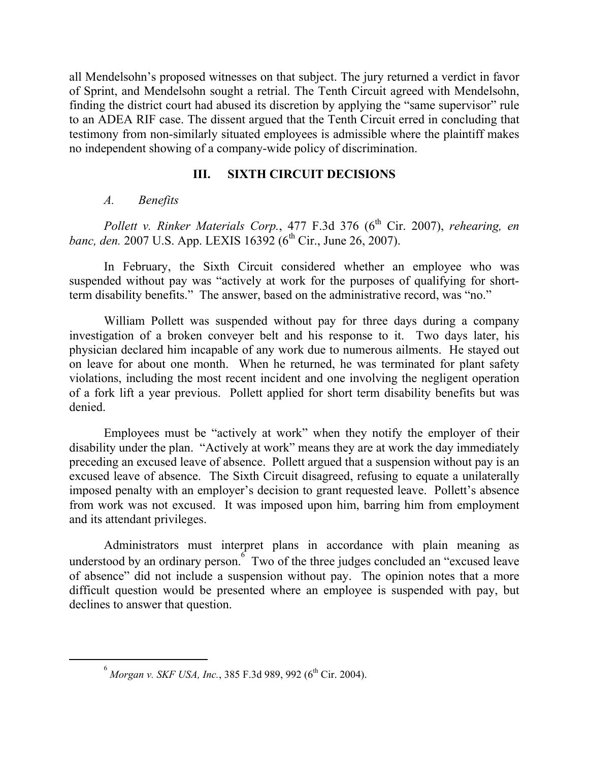all Mendelsohn's proposed witnesses on that subject. The jury returned a verdict in favor of Sprint, and Mendelsohn sought a retrial. The Tenth Circuit agreed with Mendelsohn, finding the district court had abused its discretion by applying the "same supervisor" rule to an ADEA RIF case. The dissent argued that the Tenth Circuit erred in concluding that testimony from non-similarly situated employees is admissible where the plaintiff makes no independent showing of a company-wide policy of discrimination.

# **III. SIXTH CIRCUIT DECISIONS**

# *A. Benefits*

*Pollett v. Rinker Materials Corp.*, 477 F.3d 376 (6<sup>th</sup> Cir. 2007), *rehearing, en banc, den.* 2007 U.S. App. LEXIS 16392 (6<sup>th</sup> Cir., June 26, 2007).

In February, the Sixth Circuit considered whether an employee who was suspended without pay was "actively at work for the purposes of qualifying for shortterm disability benefits." The answer, based on the administrative record, was "no."

William Pollett was suspended without pay for three days during a company investigation of a broken conveyer belt and his response to it. Two days later, his physician declared him incapable of any work due to numerous ailments. He stayed out on leave for about one month. When he returned, he was terminated for plant safety violations, including the most recent incident and one involving the negligent operation of a fork lift a year previous. Pollett applied for short term disability benefits but was denied.

Employees must be "actively at work" when they notify the employer of their disability under the plan. "Actively at work" means they are at work the day immediately preceding an excused leave of absence. Pollett argued that a suspension without pay is an excused leave of absence. The Sixth Circuit disagreed, refusing to equate a unilaterally imposed penalty with an employer's decision to grant requested leave. Pollett's absence from work was not excused. It was imposed upon him, barring him from employment and its attendant privileges.

Administrators must interpret plans in accordance with plain meaning as understood by an ordinary person.  $6 \times 100$  Two of the three judges concluded an "excused leave" of absence" did not include a suspension without pay. The opinion notes that a more difficult question would be presented where an employee is suspended with pay, but declines to answer that question.

 <sup>6</sup>  $^{6}$  *Morgan v. SKF USA, Inc.*, 385 F.3d 989, 992 (6<sup>th</sup> Cir. 2004).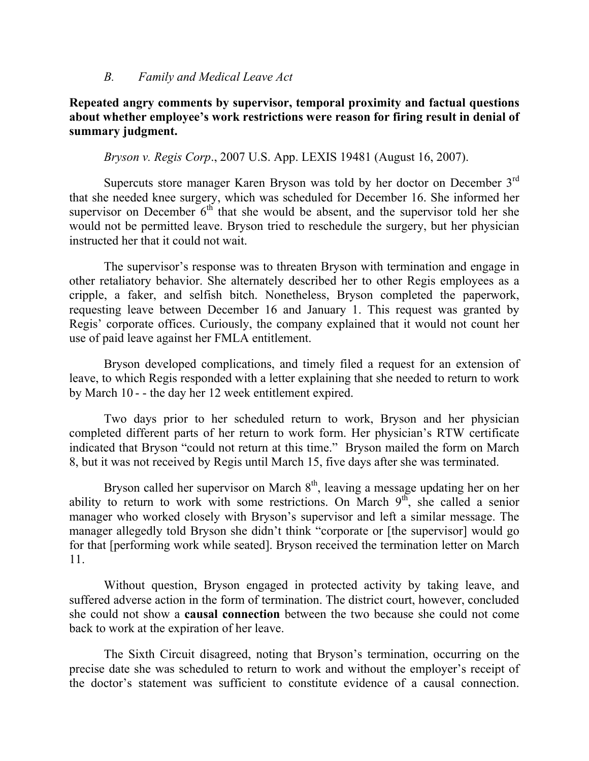#### *B. Family and Medical Leave Act*

## **Repeated angry comments by supervisor, temporal proximity and factual questions about whether employee's work restrictions were reason for firing result in denial of summary judgment.**

*Bryson v. Regis Corp*., 2007 U.S. App. LEXIS 19481 (August 16, 2007).

Supercuts store manager Karen Bryson was told by her doctor on December 3rd that she needed knee surgery, which was scheduled for December 16. She informed her supervisor on December  $6<sup>th</sup>$  that she would be absent, and the supervisor told her she would not be permitted leave. Bryson tried to reschedule the surgery, but her physician instructed her that it could not wait.

The supervisor's response was to threaten Bryson with termination and engage in other retaliatory behavior. She alternately described her to other Regis employees as a cripple, a faker, and selfish bitch. Nonetheless, Bryson completed the paperwork, requesting leave between December 16 and January 1. This request was granted by Regis' corporate offices. Curiously, the company explained that it would not count her use of paid leave against her FMLA entitlement.

Bryson developed complications, and timely filed a request for an extension of leave, to which Regis responded with a letter explaining that she needed to return to work by March 10 - - the day her 12 week entitlement expired.

Two days prior to her scheduled return to work, Bryson and her physician completed different parts of her return to work form. Her physician's RTW certificate indicated that Bryson "could not return at this time." Bryson mailed the form on March 8, but it was not received by Regis until March 15, five days after she was terminated.

Bryson called her supervisor on March  $8<sup>th</sup>$ , leaving a message updating her on her ability to return to work with some restrictions. On March  $9<sup>th</sup>$ , she called a senior manager who worked closely with Bryson's supervisor and left a similar message. The manager allegedly told Bryson she didn't think "corporate or [the supervisor] would go for that [performing work while seated]. Bryson received the termination letter on March 11.

Without question, Bryson engaged in protected activity by taking leave, and suffered adverse action in the form of termination. The district court, however, concluded she could not show a **causal connection** between the two because she could not come back to work at the expiration of her leave.

The Sixth Circuit disagreed, noting that Bryson's termination, occurring on the precise date she was scheduled to return to work and without the employer's receipt of the doctor's statement was sufficient to constitute evidence of a causal connection.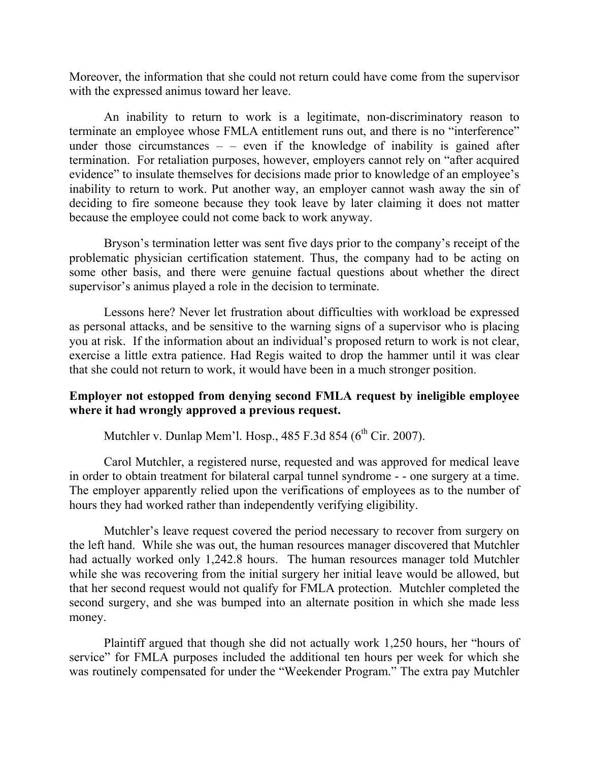Moreover, the information that she could not return could have come from the supervisor with the expressed animus toward her leave.

An inability to return to work is a legitimate, non-discriminatory reason to terminate an employee whose FMLA entitlement runs out, and there is no "interference" under those circumstances  $-$  – even if the knowledge of inability is gained after termination. For retaliation purposes, however, employers cannot rely on "after acquired evidence" to insulate themselves for decisions made prior to knowledge of an employee's inability to return to work. Put another way, an employer cannot wash away the sin of deciding to fire someone because they took leave by later claiming it does not matter because the employee could not come back to work anyway.

Bryson's termination letter was sent five days prior to the company's receipt of the problematic physician certification statement. Thus, the company had to be acting on some other basis, and there were genuine factual questions about whether the direct supervisor's animus played a role in the decision to terminate.

Lessons here? Never let frustration about difficulties with workload be expressed as personal attacks, and be sensitive to the warning signs of a supervisor who is placing you at risk. If the information about an individual's proposed return to work is not clear, exercise a little extra patience. Had Regis waited to drop the hammer until it was clear that she could not return to work, it would have been in a much stronger position.

# **Employer not estopped from denying second FMLA request by ineligible employee where it had wrongly approved a previous request.**

Mutchler v. Dunlap Mem'l. Hosp.,  $485$  F.3d  $854$  ( $6<sup>th</sup>$  Cir. 2007).

Carol Mutchler, a registered nurse, requested and was approved for medical leave in order to obtain treatment for bilateral carpal tunnel syndrome - - one surgery at a time. The employer apparently relied upon the verifications of employees as to the number of hours they had worked rather than independently verifying eligibility.

Mutchler's leave request covered the period necessary to recover from surgery on the left hand. While she was out, the human resources manager discovered that Mutchler had actually worked only 1,242.8 hours. The human resources manager told Mutchler while she was recovering from the initial surgery her initial leave would be allowed, but that her second request would not qualify for FMLA protection. Mutchler completed the second surgery, and she was bumped into an alternate position in which she made less money.

Plaintiff argued that though she did not actually work 1,250 hours, her "hours of service" for FMLA purposes included the additional ten hours per week for which she was routinely compensated for under the "Weekender Program." The extra pay Mutchler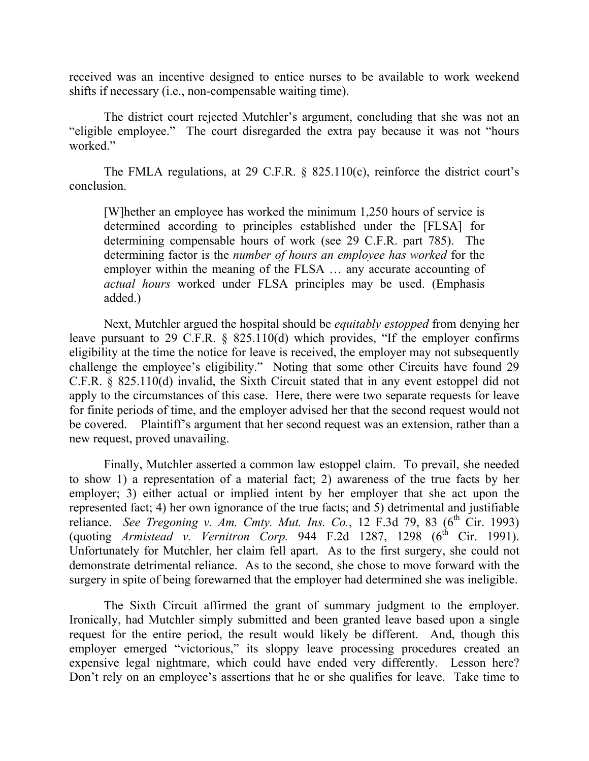received was an incentive designed to entice nurses to be available to work weekend shifts if necessary (i.e., non-compensable waiting time).

The district court rejected Mutchler's argument, concluding that she was not an "eligible employee." The court disregarded the extra pay because it was not "hours worked."

The FMLA regulations, at 29 C.F.R. § 825.110(c), reinforce the district court's conclusion.

[W]hether an employee has worked the minimum 1,250 hours of service is determined according to principles established under the [FLSA] for determining compensable hours of work (see 29 C.F.R. part 785). The determining factor is the *number of hours an employee has worked* for the employer within the meaning of the FLSA … any accurate accounting of *actual hours* worked under FLSA principles may be used. (Emphasis added.)

Next, Mutchler argued the hospital should be *equitably estopped* from denying her leave pursuant to 29 C.F.R. § 825.110(d) which provides, "If the employer confirms eligibility at the time the notice for leave is received, the employer may not subsequently challenge the employee's eligibility." Noting that some other Circuits have found 29 C.F.R. § 825.110(d) invalid, the Sixth Circuit stated that in any event estoppel did not apply to the circumstances of this case. Here, there were two separate requests for leave for finite periods of time, and the employer advised her that the second request would not be covered. Plaintiff's argument that her second request was an extension, rather than a new request, proved unavailing.

Finally, Mutchler asserted a common law estoppel claim. To prevail, she needed to show 1) a representation of a material fact; 2) awareness of the true facts by her employer; 3) either actual or implied intent by her employer that she act upon the represented fact; 4) her own ignorance of the true facts; and 5) detrimental and justifiable reliance. *See Tregoning v. Am. Cmty. Mut. Ins. Co.*, 12 F.3d 79, 83 (6<sup>th</sup> Cir. 1993) (quoting *Armistead v. Vernitron Corp.* 944 F.2d 1287, 1298  $(6^{th}$  Cir. 1991). Unfortunately for Mutchler, her claim fell apart. As to the first surgery, she could not demonstrate detrimental reliance. As to the second, she chose to move forward with the surgery in spite of being forewarned that the employer had determined she was ineligible.

The Sixth Circuit affirmed the grant of summary judgment to the employer. Ironically, had Mutchler simply submitted and been granted leave based upon a single request for the entire period, the result would likely be different. And, though this employer emerged "victorious," its sloppy leave processing procedures created an expensive legal nightmare, which could have ended very differently. Lesson here? Don't rely on an employee's assertions that he or she qualifies for leave. Take time to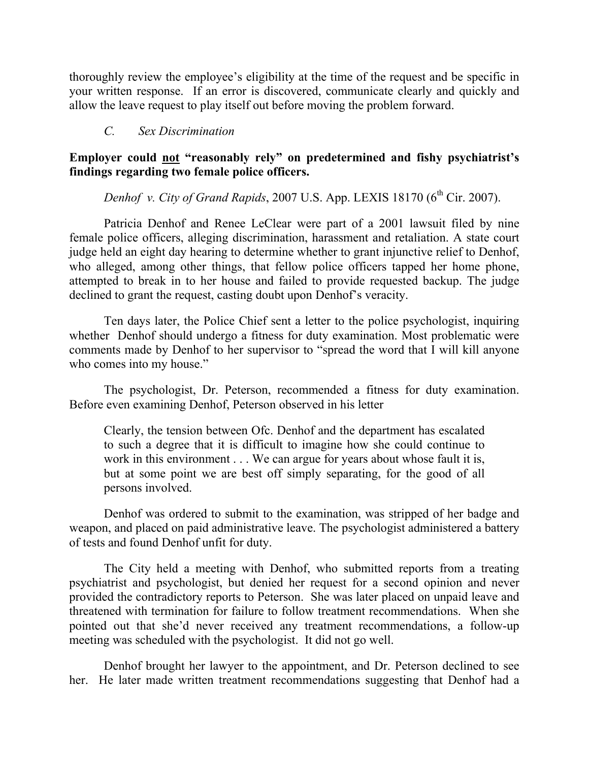thoroughly review the employee's eligibility at the time of the request and be specific in your written response. If an error is discovered, communicate clearly and quickly and allow the leave request to play itself out before moving the problem forward.

### *C. Sex Discrimination*

# **Employer could not "reasonably rely" on predetermined and fishy psychiatrist's findings regarding two female police officers.**

*Denhof v. City of Grand Rapids*, 2007 U.S. App. LEXIS 18170 (6<sup>th</sup> Cir. 2007).

Patricia Denhof and Renee LeClear were part of a 2001 lawsuit filed by nine female police officers, alleging discrimination, harassment and retaliation. A state court judge held an eight day hearing to determine whether to grant injunctive relief to Denhof, who alleged, among other things, that fellow police officers tapped her home phone, attempted to break in to her house and failed to provide requested backup. The judge declined to grant the request, casting doubt upon Denhof's veracity.

Ten days later, the Police Chief sent a letter to the police psychologist, inquiring whether Denhof should undergo a fitness for duty examination. Most problematic were comments made by Denhof to her supervisor to "spread the word that I will kill anyone who comes into my house."

The psychologist, Dr. Peterson, recommended a fitness for duty examination. Before even examining Denhof, Peterson observed in his letter

Clearly, the tension between Ofc. Denhof and the department has escalated to such a degree that it is difficult to imagine how she could continue to work in this environment . . . We can argue for years about whose fault it is, but at some point we are best off simply separating, for the good of all persons involved.

Denhof was ordered to submit to the examination, was stripped of her badge and weapon, and placed on paid administrative leave. The psychologist administered a battery of tests and found Denhof unfit for duty.

The City held a meeting with Denhof, who submitted reports from a treating psychiatrist and psychologist, but denied her request for a second opinion and never provided the contradictory reports to Peterson. She was later placed on unpaid leave and threatened with termination for failure to follow treatment recommendations. When she pointed out that she'd never received any treatment recommendations, a follow-up meeting was scheduled with the psychologist. It did not go well.

Denhof brought her lawyer to the appointment, and Dr. Peterson declined to see her. He later made written treatment recommendations suggesting that Denhof had a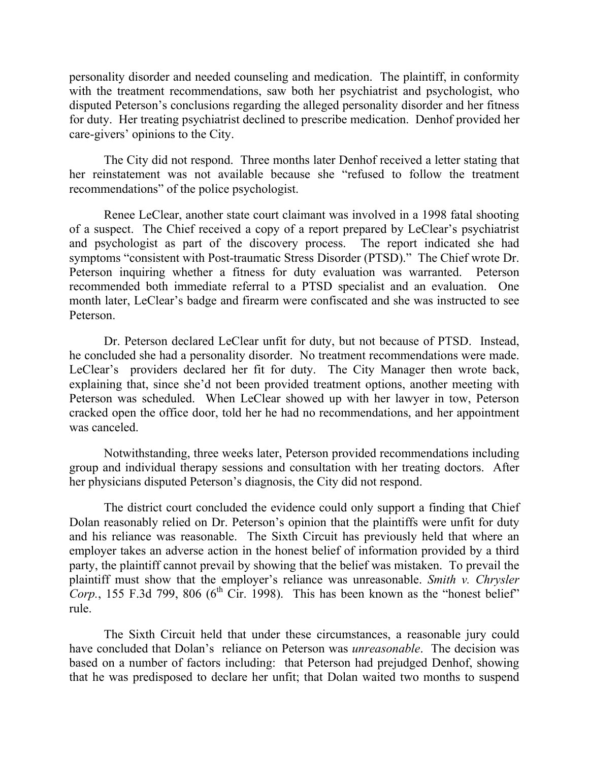personality disorder and needed counseling and medication. The plaintiff, in conformity with the treatment recommendations, saw both her psychiatrist and psychologist, who disputed Peterson's conclusions regarding the alleged personality disorder and her fitness for duty. Her treating psychiatrist declined to prescribe medication. Denhof provided her care-givers' opinions to the City.

The City did not respond. Three months later Denhof received a letter stating that her reinstatement was not available because she "refused to follow the treatment recommendations" of the police psychologist.

Renee LeClear, another state court claimant was involved in a 1998 fatal shooting of a suspect. The Chief received a copy of a report prepared by LeClear's psychiatrist and psychologist as part of the discovery process. The report indicated she had symptoms "consistent with Post-traumatic Stress Disorder (PTSD)." The Chief wrote Dr. Peterson inquiring whether a fitness for duty evaluation was warranted. Peterson recommended both immediate referral to a PTSD specialist and an evaluation. One month later, LeClear's badge and firearm were confiscated and she was instructed to see Peterson.

Dr. Peterson declared LeClear unfit for duty, but not because of PTSD. Instead, he concluded she had a personality disorder. No treatment recommendations were made. LeClear's providers declared her fit for duty. The City Manager then wrote back, explaining that, since she'd not been provided treatment options, another meeting with Peterson was scheduled. When LeClear showed up with her lawyer in tow, Peterson cracked open the office door, told her he had no recommendations, and her appointment was canceled.

Notwithstanding, three weeks later, Peterson provided recommendations including group and individual therapy sessions and consultation with her treating doctors. After her physicians disputed Peterson's diagnosis, the City did not respond.

The district court concluded the evidence could only support a finding that Chief Dolan reasonably relied on Dr. Peterson's opinion that the plaintiffs were unfit for duty and his reliance was reasonable. The Sixth Circuit has previously held that where an employer takes an adverse action in the honest belief of information provided by a third party, the plaintiff cannot prevail by showing that the belief was mistaken. To prevail the plaintiff must show that the employer's reliance was unreasonable. *Smith v. Chrysler Corp.*, 155 F.3d 799, 806 ( $6<sup>th</sup>$  Cir. 1998). This has been known as the "honest belief" rule.

The Sixth Circuit held that under these circumstances, a reasonable jury could have concluded that Dolan's reliance on Peterson was *unreasonable*. The decision was based on a number of factors including: that Peterson had prejudged Denhof, showing that he was predisposed to declare her unfit; that Dolan waited two months to suspend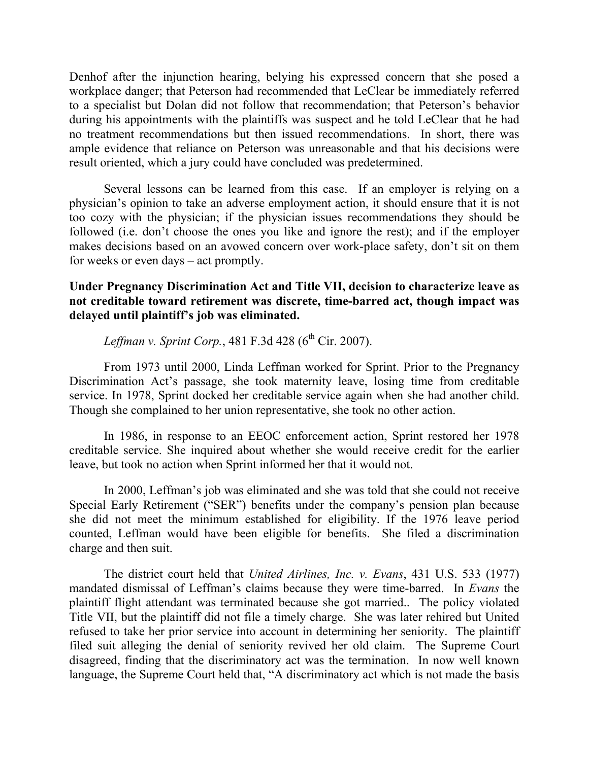Denhof after the injunction hearing, belying his expressed concern that she posed a workplace danger; that Peterson had recommended that LeClear be immediately referred to a specialist but Dolan did not follow that recommendation; that Peterson's behavior during his appointments with the plaintiffs was suspect and he told LeClear that he had no treatment recommendations but then issued recommendations. In short, there was ample evidence that reliance on Peterson was unreasonable and that his decisions were result oriented, which a jury could have concluded was predetermined.

Several lessons can be learned from this case. If an employer is relying on a physician's opinion to take an adverse employment action, it should ensure that it is not too cozy with the physician; if the physician issues recommendations they should be followed (i.e. don't choose the ones you like and ignore the rest); and if the employer makes decisions based on an avowed concern over work-place safety, don't sit on them for weeks or even days – act promptly.

# **Under Pregnancy Discrimination Act and Title VII, decision to characterize leave as not creditable toward retirement was discrete, time-barred act, though impact was delayed until plaintiff's job was eliminated.**

*Leffman v. Sprint Corp.*, 481 F.3d 428 ( $6^{th}$  Cir. 2007).

From 1973 until 2000, Linda Leffman worked for Sprint. Prior to the Pregnancy Discrimination Act's passage, she took maternity leave, losing time from creditable service. In 1978, Sprint docked her creditable service again when she had another child. Though she complained to her union representative, she took no other action.

In 1986, in response to an EEOC enforcement action, Sprint restored her 1978 creditable service. She inquired about whether she would receive credit for the earlier leave, but took no action when Sprint informed her that it would not.

In 2000, Leffman's job was eliminated and she was told that she could not receive Special Early Retirement ("SER") benefits under the company's pension plan because she did not meet the minimum established for eligibility. If the 1976 leave period counted, Leffman would have been eligible for benefits. She filed a discrimination charge and then suit.

The district court held that *United Airlines, Inc. v. Evans*, 431 U.S. 533 (1977) mandated dismissal of Leffman's claims because they were time-barred. In *Evans* the plaintiff flight attendant was terminated because she got married.. The policy violated Title VII, but the plaintiff did not file a timely charge. She was later rehired but United refused to take her prior service into account in determining her seniority. The plaintiff filed suit alleging the denial of seniority revived her old claim. The Supreme Court disagreed, finding that the discriminatory act was the termination. In now well known language, the Supreme Court held that, "A discriminatory act which is not made the basis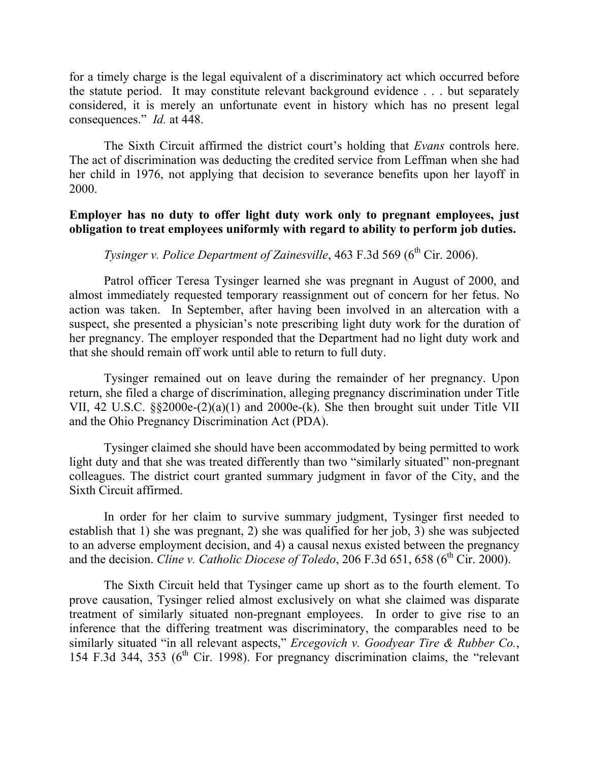for a timely charge is the legal equivalent of a discriminatory act which occurred before the statute period. It may constitute relevant background evidence . . . but separately considered, it is merely an unfortunate event in history which has no present legal consequences." *Id.* at 448.

The Sixth Circuit affirmed the district court's holding that *Evans* controls here. The act of discrimination was deducting the credited service from Leffman when she had her child in 1976, not applying that decision to severance benefits upon her layoff in 2000.

## **Employer has no duty to offer light duty work only to pregnant employees, just obligation to treat employees uniformly with regard to ability to perform job duties.**

# *Tysinger v. Police Department of Zainesville*, 463 F.3d 569 (6<sup>th</sup> Cir. 2006).

Patrol officer Teresa Tysinger learned she was pregnant in August of 2000, and almost immediately requested temporary reassignment out of concern for her fetus. No action was taken. In September, after having been involved in an altercation with a suspect, she presented a physician's note prescribing light duty work for the duration of her pregnancy. The employer responded that the Department had no light duty work and that she should remain off work until able to return to full duty.

Tysinger remained out on leave during the remainder of her pregnancy. Upon return, she filed a charge of discrimination, alleging pregnancy discrimination under Title VII, 42 U.S.C. §§2000e-(2)(a)(1) and 2000e-(k). She then brought suit under Title VII and the Ohio Pregnancy Discrimination Act (PDA).

Tysinger claimed she should have been accommodated by being permitted to work light duty and that she was treated differently than two "similarly situated" non-pregnant colleagues. The district court granted summary judgment in favor of the City, and the Sixth Circuit affirmed.

In order for her claim to survive summary judgment, Tysinger first needed to establish that 1) she was pregnant, 2) she was qualified for her job, 3) she was subjected to an adverse employment decision, and 4) a causal nexus existed between the pregnancy and the decision. *Cline v. Catholic Diocese of Toledo*, 206 F.3d 651, 658 (6<sup>th</sup> Cir. 2000).

The Sixth Circuit held that Tysinger came up short as to the fourth element. To prove causation, Tysinger relied almost exclusively on what she claimed was disparate treatment of similarly situated non-pregnant employees. In order to give rise to an inference that the differing treatment was discriminatory, the comparables need to be similarly situated "in all relevant aspects," *Ercegovich v. Goodyear Tire & Rubber Co.*, 154 F.3d 344, 353 ( $6<sup>th</sup>$  Cir. 1998). For pregnancy discrimination claims, the "relevant"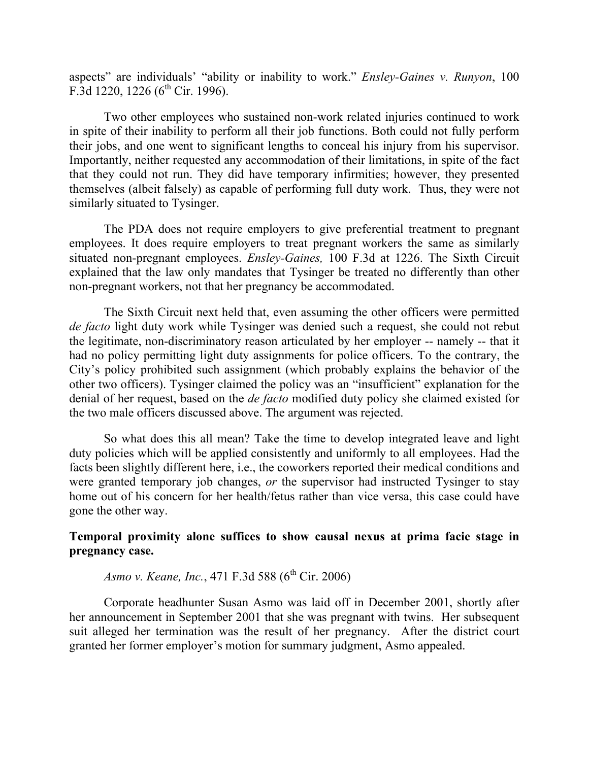aspects" are individuals' "ability or inability to work." *Ensley-Gaines v. Runyon*, 100 F.3d 1220, 1226 ( $6<sup>th</sup>$  Cir. 1996).

Two other employees who sustained non-work related injuries continued to work in spite of their inability to perform all their job functions. Both could not fully perform their jobs, and one went to significant lengths to conceal his injury from his supervisor. Importantly, neither requested any accommodation of their limitations, in spite of the fact that they could not run. They did have temporary infirmities; however, they presented themselves (albeit falsely) as capable of performing full duty work. Thus, they were not similarly situated to Tysinger.

The PDA does not require employers to give preferential treatment to pregnant employees. It does require employers to treat pregnant workers the same as similarly situated non-pregnant employees. *Ensley-Gaines,* 100 F.3d at 1226. The Sixth Circuit explained that the law only mandates that Tysinger be treated no differently than other non-pregnant workers, not that her pregnancy be accommodated.

The Sixth Circuit next held that, even assuming the other officers were permitted *de facto* light duty work while Tysinger was denied such a request, she could not rebut the legitimate, non-discriminatory reason articulated by her employer -- namely -- that it had no policy permitting light duty assignments for police officers. To the contrary, the City's policy prohibited such assignment (which probably explains the behavior of the other two officers). Tysinger claimed the policy was an "insufficient" explanation for the denial of her request, based on the *de facto* modified duty policy she claimed existed for the two male officers discussed above. The argument was rejected.

So what does this all mean? Take the time to develop integrated leave and light duty policies which will be applied consistently and uniformly to all employees. Had the facts been slightly different here, i.e., the coworkers reported their medical conditions and were granted temporary job changes, *or* the supervisor had instructed Tysinger to stay home out of his concern for her health/fetus rather than vice versa, this case could have gone the other way.

#### **Temporal proximity alone suffices to show causal nexus at prima facie stage in pregnancy case.**

*Asmo v. Keane, Inc., 471 F.3d 588 (6<sup>th</sup> Cir. 2006)* 

Corporate headhunter Susan Asmo was laid off in December 2001, shortly after her announcement in September 2001 that she was pregnant with twins. Her subsequent suit alleged her termination was the result of her pregnancy. After the district court granted her former employer's motion for summary judgment, Asmo appealed.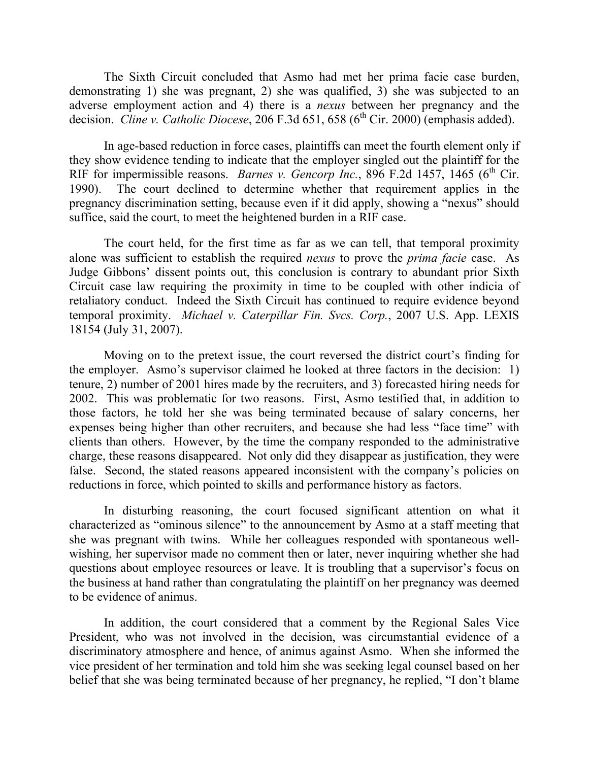The Sixth Circuit concluded that Asmo had met her prima facie case burden, demonstrating 1) she was pregnant, 2) she was qualified, 3) she was subjected to an adverse employment action and 4) there is a *nexus* between her pregnancy and the decision. *Cline v. Catholic Diocese*, 206 F.3d 651, 658 (6<sup>th</sup> Cir. 2000) (emphasis added).

In age-based reduction in force cases, plaintiffs can meet the fourth element only if they show evidence tending to indicate that the employer singled out the plaintiff for the RIF for impermissible reasons. *Barnes v. Gencorp Inc.*, 896 F.2d 1457, 1465 ( $6<sup>th</sup>$  Cir. 1990). The court declined to determine whether that requirement applies in the pregnancy discrimination setting, because even if it did apply, showing a "nexus" should suffice, said the court, to meet the heightened burden in a RIF case.

The court held, for the first time as far as we can tell, that temporal proximity alone was sufficient to establish the required *nexus* to prove the *prima facie* case. As Judge Gibbons' dissent points out, this conclusion is contrary to abundant prior Sixth Circuit case law requiring the proximity in time to be coupled with other indicia of retaliatory conduct. Indeed the Sixth Circuit has continued to require evidence beyond temporal proximity. *Michael v. Caterpillar Fin. Svcs. Corp.*, 2007 U.S. App. LEXIS 18154 (July 31, 2007).

Moving on to the pretext issue, the court reversed the district court's finding for the employer. Asmo's supervisor claimed he looked at three factors in the decision: 1) tenure, 2) number of 2001 hires made by the recruiters, and 3) forecasted hiring needs for 2002. This was problematic for two reasons. First, Asmo testified that, in addition to those factors, he told her she was being terminated because of salary concerns, her expenses being higher than other recruiters, and because she had less "face time" with clients than others. However, by the time the company responded to the administrative charge, these reasons disappeared. Not only did they disappear as justification, they were false. Second, the stated reasons appeared inconsistent with the company's policies on reductions in force, which pointed to skills and performance history as factors.

In disturbing reasoning, the court focused significant attention on what it characterized as "ominous silence" to the announcement by Asmo at a staff meeting that she was pregnant with twins. While her colleagues responded with spontaneous wellwishing, her supervisor made no comment then or later, never inquiring whether she had questions about employee resources or leave. It is troubling that a supervisor's focus on the business at hand rather than congratulating the plaintiff on her pregnancy was deemed to be evidence of animus.

In addition, the court considered that a comment by the Regional Sales Vice President, who was not involved in the decision, was circumstantial evidence of a discriminatory atmosphere and hence, of animus against Asmo. When she informed the vice president of her termination and told him she was seeking legal counsel based on her belief that she was being terminated because of her pregnancy, he replied, "I don't blame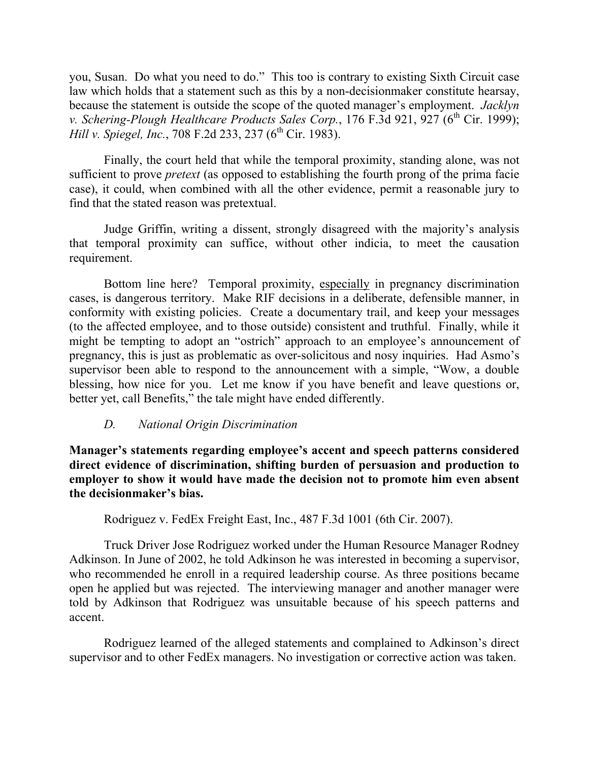you, Susan. Do what you need to do." This too is contrary to existing Sixth Circuit case law which holds that a statement such as this by a non-decisionmaker constitute hearsay, because the statement is outside the scope of the quoted manager's employment. *Jacklyn v. Schering-Plough Healthcare Products Sales Corp.*, 176 F.3d 921, 927 (6<sup>th</sup> Cir. 1999); *Hill v. Spiegel, Inc.*, 708 F.2d 233, 237 (6<sup>th</sup> Cir. 1983).

Finally, the court held that while the temporal proximity, standing alone, was not sufficient to prove *pretext* (as opposed to establishing the fourth prong of the prima facie case), it could, when combined with all the other evidence, permit a reasonable jury to find that the stated reason was pretextual.

Judge Griffin, writing a dissent, strongly disagreed with the majority's analysis that temporal proximity can suffice, without other indicia, to meet the causation requirement.

Bottom line here? Temporal proximity, especially in pregnancy discrimination cases, is dangerous territory. Make RIF decisions in a deliberate, defensible manner, in conformity with existing policies. Create a documentary trail, and keep your messages (to the affected employee, and to those outside) consistent and truthful. Finally, while it might be tempting to adopt an "ostrich" approach to an employee's announcement of pregnancy, this is just as problematic as over-solicitous and nosy inquiries. Had Asmo's supervisor been able to respond to the announcement with a simple, "Wow, a double blessing, how nice for you. Let me know if you have benefit and leave questions or, better yet, call Benefits," the tale might have ended differently.

# *D. National Origin Discrimination*

**Manager's statements regarding employee's accent and speech patterns considered direct evidence of discrimination, shifting burden of persuasion and production to employer to show it would have made the decision not to promote him even absent the decisionmaker's bias.** 

Rodriguez v. FedEx Freight East, Inc., 487 F.3d 1001 (6th Cir. 2007).

Truck Driver Jose Rodriguez worked under the Human Resource Manager Rodney Adkinson. In June of 2002, he told Adkinson he was interested in becoming a supervisor, who recommended he enroll in a required leadership course. As three positions became open he applied but was rejected. The interviewing manager and another manager were told by Adkinson that Rodriguez was unsuitable because of his speech patterns and accent.

Rodriguez learned of the alleged statements and complained to Adkinson's direct supervisor and to other FedEx managers. No investigation or corrective action was taken.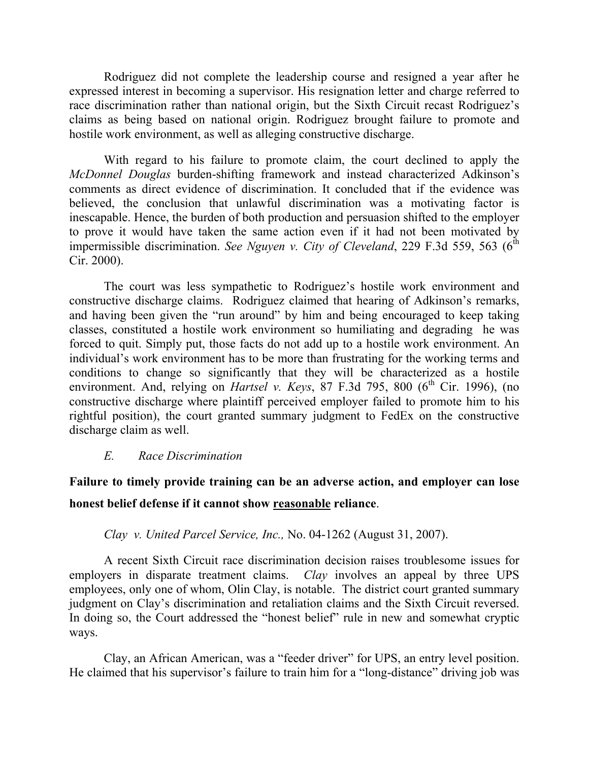Rodriguez did not complete the leadership course and resigned a year after he expressed interest in becoming a supervisor. His resignation letter and charge referred to race discrimination rather than national origin, but the Sixth Circuit recast Rodriguez's claims as being based on national origin. Rodriguez brought failure to promote and hostile work environment, as well as alleging constructive discharge.

With regard to his failure to promote claim, the court declined to apply the *McDonnel Douglas* burden-shifting framework and instead characterized Adkinson's comments as direct evidence of discrimination. It concluded that if the evidence was believed, the conclusion that unlawful discrimination was a motivating factor is inescapable. Hence, the burden of both production and persuasion shifted to the employer to prove it would have taken the same action even if it had not been motivated by impermissible discrimination. *See Nguyen v. City of Cleveland*, 229 F.3d 559, 563 ( $6<sup>th</sup>$ Cir. 2000).

The court was less sympathetic to Rodriguez's hostile work environment and constructive discharge claims. Rodriguez claimed that hearing of Adkinson's remarks, and having been given the "run around" by him and being encouraged to keep taking classes, constituted a hostile work environment so humiliating and degrading he was forced to quit. Simply put, those facts do not add up to a hostile work environment. An individual's work environment has to be more than frustrating for the working terms and conditions to change so significantly that they will be characterized as a hostile environment. And, relying on *Hartsel v. Keys*, 87 F.3d 795, 800 (6<sup>th</sup> Cir. 1996), (no constructive discharge where plaintiff perceived employer failed to promote him to his rightful position), the court granted summary judgment to FedEx on the constructive discharge claim as well.

#### *E. Race Discrimination*

**Failure to timely provide training can be an adverse action, and employer can lose honest belief defense if it cannot show reasonable reliance**.

# *Clay v. United Parcel Service, Inc.,* No. 04-1262 (August 31, 2007).

A recent Sixth Circuit race discrimination decision raises troublesome issues for employers in disparate treatment claims. *Clay* involves an appeal by three UPS employees, only one of whom, Olin Clay, is notable. The district court granted summary judgment on Clay's discrimination and retaliation claims and the Sixth Circuit reversed. In doing so, the Court addressed the "honest belief" rule in new and somewhat cryptic ways.

Clay, an African American, was a "feeder driver" for UPS, an entry level position. He claimed that his supervisor's failure to train him for a "long-distance" driving job was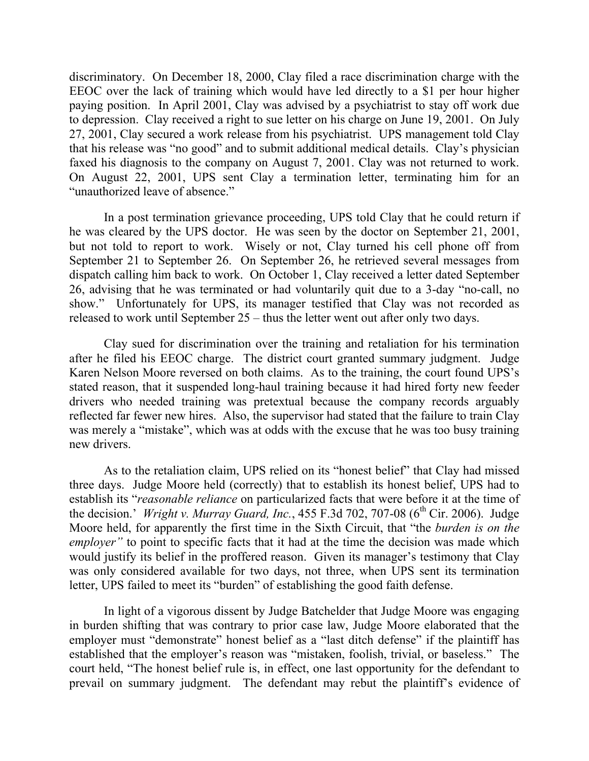discriminatory. On December 18, 2000, Clay filed a race discrimination charge with the EEOC over the lack of training which would have led directly to a \$1 per hour higher paying position. In April 2001, Clay was advised by a psychiatrist to stay off work due to depression. Clay received a right to sue letter on his charge on June 19, 2001. On July 27, 2001, Clay secured a work release from his psychiatrist. UPS management told Clay that his release was "no good" and to submit additional medical details. Clay's physician faxed his diagnosis to the company on August 7, 2001. Clay was not returned to work. On August 22, 2001, UPS sent Clay a termination letter, terminating him for an "unauthorized leave of absence."

In a post termination grievance proceeding, UPS told Clay that he could return if he was cleared by the UPS doctor. He was seen by the doctor on September 21, 2001, but not told to report to work. Wisely or not, Clay turned his cell phone off from September 21 to September 26. On September 26, he retrieved several messages from dispatch calling him back to work. On October 1, Clay received a letter dated September 26, advising that he was terminated or had voluntarily quit due to a 3-day "no-call, no show." Unfortunately for UPS, its manager testified that Clay was not recorded as released to work until September 25 – thus the letter went out after only two days.

Clay sued for discrimination over the training and retaliation for his termination after he filed his EEOC charge. The district court granted summary judgment. Judge Karen Nelson Moore reversed on both claims. As to the training, the court found UPS's stated reason, that it suspended long-haul training because it had hired forty new feeder drivers who needed training was pretextual because the company records arguably reflected far fewer new hires. Also, the supervisor had stated that the failure to train Clay was merely a "mistake", which was at odds with the excuse that he was too busy training new drivers.

As to the retaliation claim, UPS relied on its "honest belief" that Clay had missed three days. Judge Moore held (correctly) that to establish its honest belief, UPS had to establish its "*reasonable reliance* on particularized facts that were before it at the time of the decision.' *Wright v. Murray Guard, Inc.*, 455 F.3d 702, 707-08 ( $6<sup>th</sup>$  Cir. 2006). Judge Moore held, for apparently the first time in the Sixth Circuit, that "the *burden is on the employer*" to point to specific facts that it had at the time the decision was made which would justify its belief in the proffered reason. Given its manager's testimony that Clay was only considered available for two days, not three, when UPS sent its termination letter, UPS failed to meet its "burden" of establishing the good faith defense.

In light of a vigorous dissent by Judge Batchelder that Judge Moore was engaging in burden shifting that was contrary to prior case law, Judge Moore elaborated that the employer must "demonstrate" honest belief as a "last ditch defense" if the plaintiff has established that the employer's reason was "mistaken, foolish, trivial, or baseless." The court held, "The honest belief rule is, in effect, one last opportunity for the defendant to prevail on summary judgment. The defendant may rebut the plaintiff's evidence of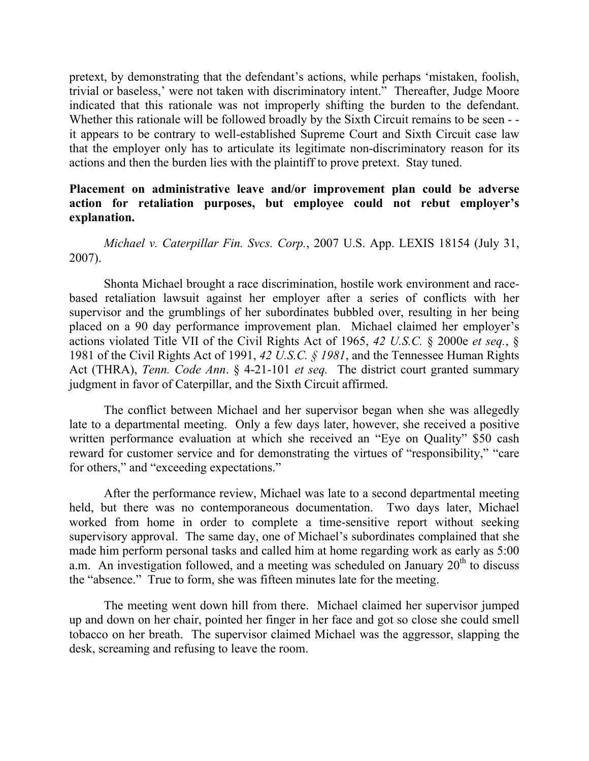pretext, by demonstrating that the defendant's actions, while perhaps 'mistaken, foolish, trivial or baseless,' were not taken with discriminatory intent." Thereafter, Judge Moore indicated that this rationale was not improperly shifting the burden to the defendant. Whether this rationale will be followed broadly by the Sixth Circuit remains to be seen -it appears to be contrary to well-established Supreme Court and Sixth Circuit case law that the employer only has to articulate its legitimate non-discriminatory reason for its actions and then the burden lies with the plaintiff to prove pretext. Stay tuned.

# **Placement on administrative leave and/or improvement plan could be adverse action for retaliation purposes, but employee could not rebut employer's explanation.**

*Michael v. Caterpillar Fin. Svcs. Corp.*, 2007 U.S. App. LEXIS 18154 (July 31, 2007).

Shonta Michael brought a race discrimination, hostile work environment and racebased retaliation lawsuit against her employer after a series of conflicts with her supervisor and the grumblings of her subordinates bubbled over, resulting in her being placed on a 90 day performance improvement plan. Michael claimed her employer's actions violated Title VII of the Civil Rights Act of 1965, *42 U.S.C.* § 2000e *et seq.*, § 1981 of the Civil Rights Act of 1991, *42 U.S.C. § 1981*, and the Tennessee Human Rights Act (THRA), *Tenn. Code Ann*. § 4-21-101 *et seq.* The district court granted summary judgment in favor of Caterpillar, and the Sixth Circuit affirmed.

The conflict between Michael and her supervisor began when she was allegedly late to a departmental meeting. Only a few days later, however, she received a positive written performance evaluation at which she received an "Eye on Quality" \$50 cash reward for customer service and for demonstrating the virtues of "responsibility," "care for others," and "exceeding expectations."

After the performance review, Michael was late to a second departmental meeting held, but there was no contemporaneous documentation. Two days later, Michael worked from home in order to complete a time-sensitive report without seeking supervisory approval. The same day, one of Michael's subordinates complained that she made him perform personal tasks and called him at home regarding work as early as 5:00 a.m. An investigation followed, and a meeting was scheduled on January  $20<sup>th</sup>$  to discuss the "absence." True to form, she was fifteen minutes late for the meeting.

The meeting went down hill from there. Michael claimed her supervisor jumped up and down on her chair, pointed her finger in her face and got so close she could smell tobacco on her breath. The supervisor claimed Michael was the aggressor, slapping the desk, screaming and refusing to leave the room.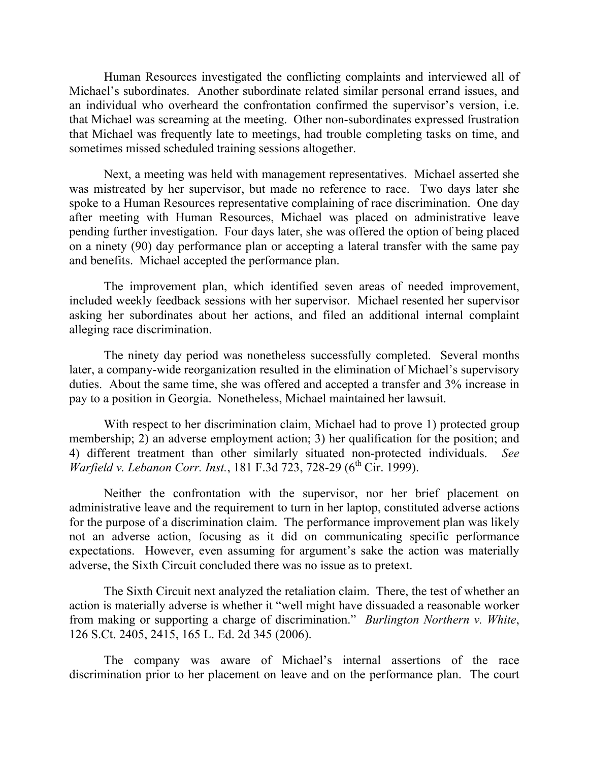Human Resources investigated the conflicting complaints and interviewed all of Michael's subordinates. Another subordinate related similar personal errand issues, and an individual who overheard the confrontation confirmed the supervisor's version, i.e. that Michael was screaming at the meeting. Other non-subordinates expressed frustration that Michael was frequently late to meetings, had trouble completing tasks on time, and sometimes missed scheduled training sessions altogether.

Next, a meeting was held with management representatives. Michael asserted she was mistreated by her supervisor, but made no reference to race. Two days later she spoke to a Human Resources representative complaining of race discrimination. One day after meeting with Human Resources, Michael was placed on administrative leave pending further investigation. Four days later, she was offered the option of being placed on a ninety (90) day performance plan or accepting a lateral transfer with the same pay and benefits. Michael accepted the performance plan.

The improvement plan, which identified seven areas of needed improvement, included weekly feedback sessions with her supervisor. Michael resented her supervisor asking her subordinates about her actions, and filed an additional internal complaint alleging race discrimination.

The ninety day period was nonetheless successfully completed. Several months later, a company-wide reorganization resulted in the elimination of Michael's supervisory duties. About the same time, she was offered and accepted a transfer and 3% increase in pay to a position in Georgia. Nonetheless, Michael maintained her lawsuit.

With respect to her discrimination claim, Michael had to prove 1) protected group membership; 2) an adverse employment action; 3) her qualification for the position; and 4) different treatment than other similarly situated non-protected individuals. *See Warfield v. Lebanon Corr. Inst.*, 181 F.3d 723, 728-29 (6<sup>th</sup> Cir. 1999).

Neither the confrontation with the supervisor, nor her brief placement on administrative leave and the requirement to turn in her laptop, constituted adverse actions for the purpose of a discrimination claim. The performance improvement plan was likely not an adverse action, focusing as it did on communicating specific performance expectations. However, even assuming for argument's sake the action was materially adverse, the Sixth Circuit concluded there was no issue as to pretext.

The Sixth Circuit next analyzed the retaliation claim. There, the test of whether an action is materially adverse is whether it "well might have dissuaded a reasonable worker from making or supporting a charge of discrimination." *Burlington Northern v. White*, 126 S.Ct. 2405, 2415, 165 L. Ed. 2d 345 (2006).

The company was aware of Michael's internal assertions of the race discrimination prior to her placement on leave and on the performance plan. The court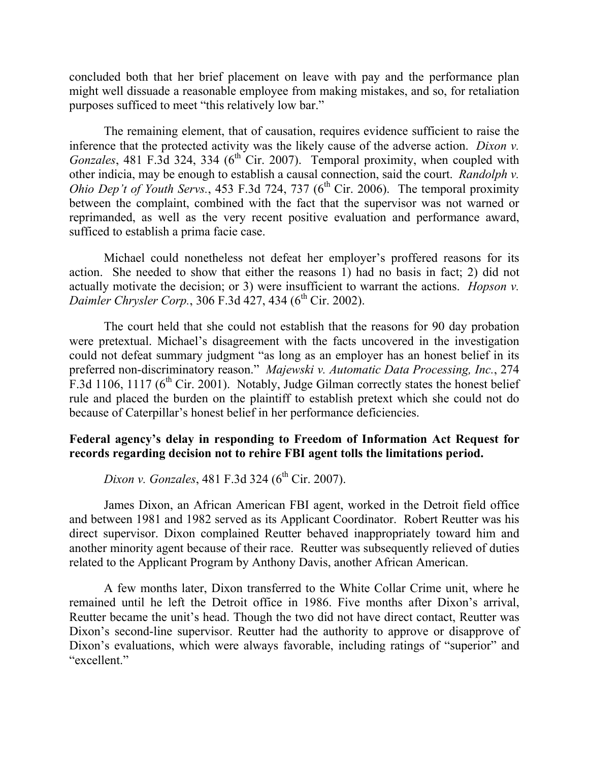concluded both that her brief placement on leave with pay and the performance plan might well dissuade a reasonable employee from making mistakes, and so, for retaliation purposes sufficed to meet "this relatively low bar."

The remaining element, that of causation, requires evidence sufficient to raise the inference that the protected activity was the likely cause of the adverse action. *Dixon v. Gonzales*, 481 F.3d 324, 334 ( $6<sup>th</sup>$  Cir. 2007). Temporal proximity, when coupled with other indicia, may be enough to establish a causal connection, said the court. *Randolph v. Ohio Dep't of Youth Servs.*, 453 F.3d 724, 737 (6<sup>th</sup> Cir. 2006). The temporal proximity between the complaint, combined with the fact that the supervisor was not warned or reprimanded, as well as the very recent positive evaluation and performance award, sufficed to establish a prima facie case.

Michael could nonetheless not defeat her employer's proffered reasons for its action. She needed to show that either the reasons 1) had no basis in fact; 2) did not actually motivate the decision; or 3) were insufficient to warrant the actions. *Hopson v. Daimler Chrysler Corp.*, 306 F.3d 427, 434 (6<sup>th</sup> Cir. 2002).

The court held that she could not establish that the reasons for 90 day probation were pretextual. Michael's disagreement with the facts uncovered in the investigation could not defeat summary judgment "as long as an employer has an honest belief in its preferred non-discriminatory reason." *Majewski v. Automatic Data Processing, Inc.*, 274 F.3d 1106, 1117 ( $6<sup>th</sup>$  Cir. 2001). Notably, Judge Gilman correctly states the honest belief rule and placed the burden on the plaintiff to establish pretext which she could not do because of Caterpillar's honest belief in her performance deficiencies.

### **Federal agency's delay in responding to Freedom of Information Act Request for records regarding decision not to rehire FBI agent tolls the limitations period.**

*Dixon v. Gonzales*, 481 F.3d 324 (6<sup>th</sup> Cir. 2007).

James Dixon, an African American FBI agent, worked in the Detroit field office and between 1981 and 1982 served as its Applicant Coordinator. Robert Reutter was his direct supervisor. Dixon complained Reutter behaved inappropriately toward him and another minority agent because of their race. Reutter was subsequently relieved of duties related to the Applicant Program by Anthony Davis, another African American.

A few months later, Dixon transferred to the White Collar Crime unit, where he remained until he left the Detroit office in 1986. Five months after Dixon's arrival, Reutter became the unit's head. Though the two did not have direct contact, Reutter was Dixon's second-line supervisor. Reutter had the authority to approve or disapprove of Dixon's evaluations, which were always favorable, including ratings of "superior" and "excellent."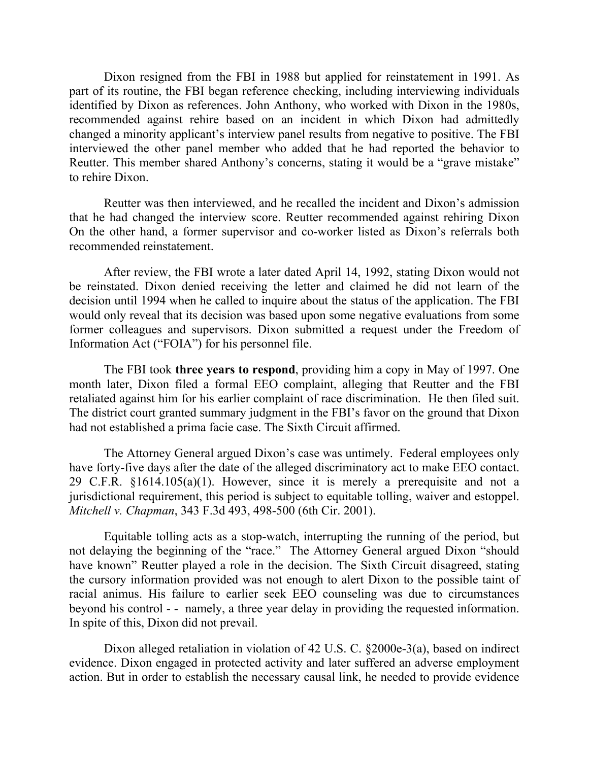Dixon resigned from the FBI in 1988 but applied for reinstatement in 1991. As part of its routine, the FBI began reference checking, including interviewing individuals identified by Dixon as references. John Anthony, who worked with Dixon in the 1980s, recommended against rehire based on an incident in which Dixon had admittedly changed a minority applicant's interview panel results from negative to positive. The FBI interviewed the other panel member who added that he had reported the behavior to Reutter. This member shared Anthony's concerns, stating it would be a "grave mistake" to rehire Dixon.

Reutter was then interviewed, and he recalled the incident and Dixon's admission that he had changed the interview score. Reutter recommended against rehiring Dixon On the other hand, a former supervisor and co-worker listed as Dixon's referrals both recommended reinstatement.

After review, the FBI wrote a later dated April 14, 1992, stating Dixon would not be reinstated. Dixon denied receiving the letter and claimed he did not learn of the decision until 1994 when he called to inquire about the status of the application. The FBI would only reveal that its decision was based upon some negative evaluations from some former colleagues and supervisors. Dixon submitted a request under the Freedom of Information Act ("FOIA") for his personnel file.

The FBI took **three years to respond**, providing him a copy in May of 1997. One month later, Dixon filed a formal EEO complaint, alleging that Reutter and the FBI retaliated against him for his earlier complaint of race discrimination. He then filed suit. The district court granted summary judgment in the FBI's favor on the ground that Dixon had not established a prima facie case. The Sixth Circuit affirmed.

The Attorney General argued Dixon's case was untimely. Federal employees only have forty-five days after the date of the alleged discriminatory act to make EEO contact. 29 C.F.R. §1614.105(a)(1). However, since it is merely a prerequisite and not a jurisdictional requirement, this period is subject to equitable tolling, waiver and estoppel. *Mitchell v. Chapman*, 343 F.3d 493, 498-500 (6th Cir. 2001).

Equitable tolling acts as a stop-watch, interrupting the running of the period, but not delaying the beginning of the "race." The Attorney General argued Dixon "should have known" Reutter played a role in the decision. The Sixth Circuit disagreed, stating the cursory information provided was not enough to alert Dixon to the possible taint of racial animus. His failure to earlier seek EEO counseling was due to circumstances beyond his control - - namely, a three year delay in providing the requested information. In spite of this, Dixon did not prevail.

Dixon alleged retaliation in violation of 42 U.S. C. §2000e-3(a), based on indirect evidence. Dixon engaged in protected activity and later suffered an adverse employment action. But in order to establish the necessary causal link, he needed to provide evidence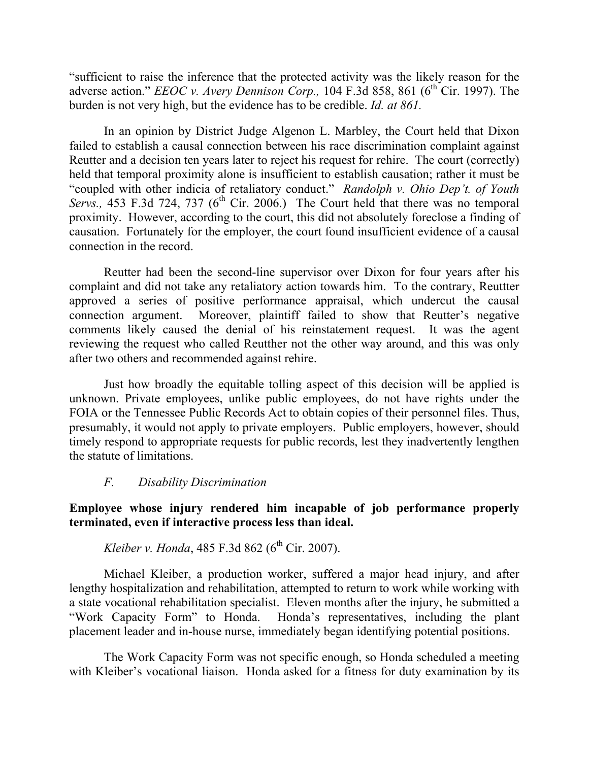"sufficient to raise the inference that the protected activity was the likely reason for the adverse action." *EEOC v. Avery Dennison Corp.*, 104 F.3d 858, 861 (6<sup>th</sup> Cir. 1997). The burden is not very high, but the evidence has to be credible. *Id. at 861.* 

In an opinion by District Judge Algenon L. Marbley, the Court held that Dixon failed to establish a causal connection between his race discrimination complaint against Reutter and a decision ten years later to reject his request for rehire. The court (correctly) held that temporal proximity alone is insufficient to establish causation; rather it must be "coupled with other indicia of retaliatory conduct." *Randolph v. Ohio Dep't. of Youth Servs.*, 453 F.3d 724, 737 (6<sup>th</sup> Cir. 2006.) The Court held that there was no temporal proximity. However, according to the court, this did not absolutely foreclose a finding of causation. Fortunately for the employer, the court found insufficient evidence of a causal connection in the record.

Reutter had been the second-line supervisor over Dixon for four years after his complaint and did not take any retaliatory action towards him. To the contrary, Reuttter approved a series of positive performance appraisal, which undercut the causal connection argument. Moreover, plaintiff failed to show that Reutter's negative comments likely caused the denial of his reinstatement request. It was the agent reviewing the request who called Reutther not the other way around, and this was only after two others and recommended against rehire.

Just how broadly the equitable tolling aspect of this decision will be applied is unknown. Private employees, unlike public employees, do not have rights under the FOIA or the Tennessee Public Records Act to obtain copies of their personnel files. Thus, presumably, it would not apply to private employers. Public employers, however, should timely respond to appropriate requests for public records, lest they inadvertently lengthen the statute of limitations.

#### *F. Disability Discrimination*

# **Employee whose injury rendered him incapable of job performance properly terminated, even if interactive process less than ideal.**

# *Kleiber v. Honda*,  $485$  F.3d  $862$  ( $6<sup>th</sup>$  Cir. 2007).

Michael Kleiber, a production worker, suffered a major head injury, and after lengthy hospitalization and rehabilitation, attempted to return to work while working with a state vocational rehabilitation specialist. Eleven months after the injury, he submitted a "Work Capacity Form" to Honda. Honda's representatives, including the plant placement leader and in-house nurse, immediately began identifying potential positions.

The Work Capacity Form was not specific enough, so Honda scheduled a meeting with Kleiber's vocational liaison. Honda asked for a fitness for duty examination by its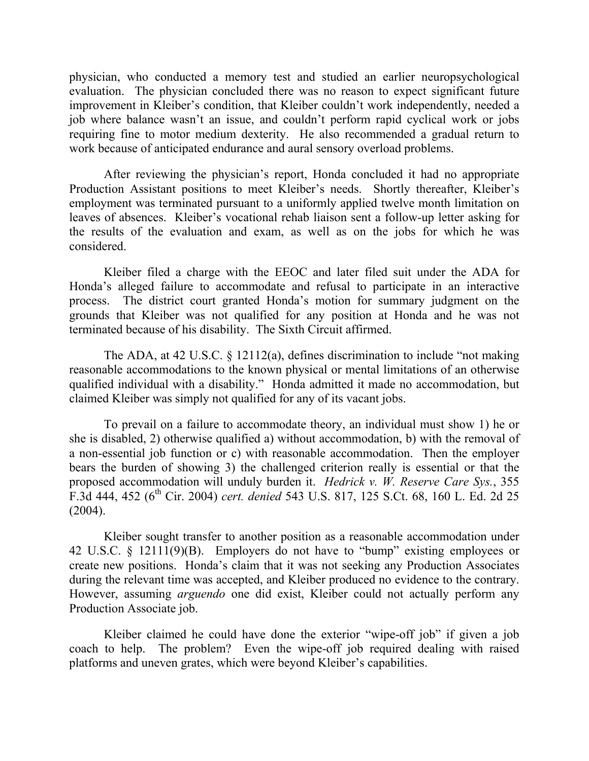physician, who conducted a memory test and studied an earlier neuropsychological evaluation. The physician concluded there was no reason to expect significant future improvement in Kleiber's condition, that Kleiber couldn't work independently, needed a job where balance wasn't an issue, and couldn't perform rapid cyclical work or jobs requiring fine to motor medium dexterity. He also recommended a gradual return to work because of anticipated endurance and aural sensory overload problems.

After reviewing the physician's report, Honda concluded it had no appropriate Production Assistant positions to meet Kleiber's needs. Shortly thereafter, Kleiber's employment was terminated pursuant to a uniformly applied twelve month limitation on leaves of absences. Kleiber's vocational rehab liaison sent a follow-up letter asking for the results of the evaluation and exam, as well as on the jobs for which he was considered.

Kleiber filed a charge with the EEOC and later filed suit under the ADA for Honda's alleged failure to accommodate and refusal to participate in an interactive process. The district court granted Honda's motion for summary judgment on the grounds that Kleiber was not qualified for any position at Honda and he was not terminated because of his disability. The Sixth Circuit affirmed.

The ADA, at 42 U.S.C. § 12112(a), defines discrimination to include "not making reasonable accommodations to the known physical or mental limitations of an otherwise qualified individual with a disability." Honda admitted it made no accommodation, but claimed Kleiber was simply not qualified for any of its vacant jobs.

To prevail on a failure to accommodate theory, an individual must show 1) he or she is disabled, 2) otherwise qualified a) without accommodation, b) with the removal of a non-essential job function or c) with reasonable accommodation. Then the employer bears the burden of showing 3) the challenged criterion really is essential or that the proposed accommodation will unduly burden it. *Hedrick v. W. Reserve Care Sys.*, 355 F.3d 444, 452 (6th Cir. 2004) *cert. denied* 543 U.S. 817, 125 S.Ct. 68, 160 L. Ed. 2d 25 (2004).

Kleiber sought transfer to another position as a reasonable accommodation under 42 U.S.C. § 12111(9)(B). Employers do not have to "bump" existing employees or create new positions. Honda's claim that it was not seeking any Production Associates during the relevant time was accepted, and Kleiber produced no evidence to the contrary. However, assuming *arguendo* one did exist, Kleiber could not actually perform any Production Associate job.

Kleiber claimed he could have done the exterior "wipe-off job" if given a job coach to help. The problem? Even the wipe-off job required dealing with raised platforms and uneven grates, which were beyond Kleiber's capabilities.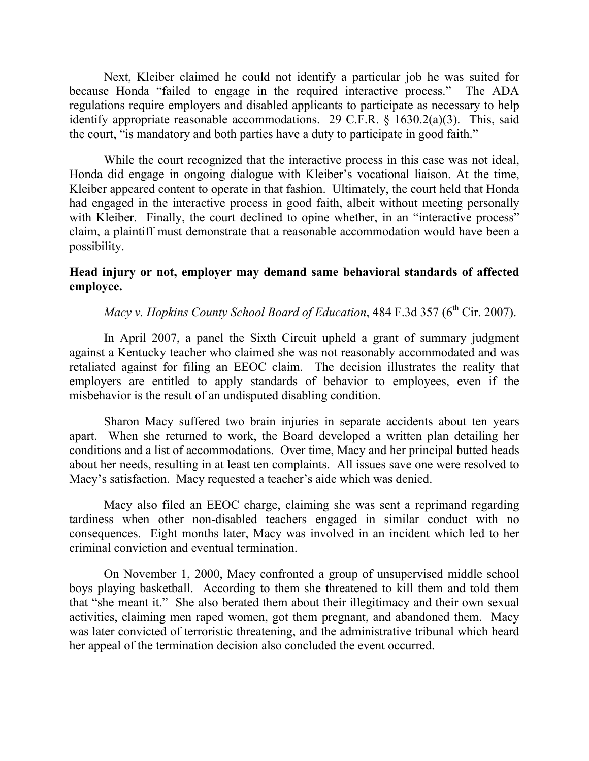Next, Kleiber claimed he could not identify a particular job he was suited for because Honda "failed to engage in the required interactive process." The ADA regulations require employers and disabled applicants to participate as necessary to help identify appropriate reasonable accommodations. 29 C.F.R. § 1630.2(a)(3). This, said the court, "is mandatory and both parties have a duty to participate in good faith."

While the court recognized that the interactive process in this case was not ideal, Honda did engage in ongoing dialogue with Kleiber's vocational liaison. At the time, Kleiber appeared content to operate in that fashion. Ultimately, the court held that Honda had engaged in the interactive process in good faith, albeit without meeting personally with Kleiber. Finally, the court declined to opine whether, in an "interactive process" claim, a plaintiff must demonstrate that a reasonable accommodation would have been a possibility.

### **Head injury or not, employer may demand same behavioral standards of affected employee.**

*Macy v. Hopkins County School Board of Education*, 484 F.3d 357 (6<sup>th</sup> Cir. 2007).

In April 2007, a panel the Sixth Circuit upheld a grant of summary judgment against a Kentucky teacher who claimed she was not reasonably accommodated and was retaliated against for filing an EEOC claim. The decision illustrates the reality that employers are entitled to apply standards of behavior to employees, even if the misbehavior is the result of an undisputed disabling condition.

Sharon Macy suffered two brain injuries in separate accidents about ten years apart. When she returned to work, the Board developed a written plan detailing her conditions and a list of accommodations. Over time, Macy and her principal butted heads about her needs, resulting in at least ten complaints. All issues save one were resolved to Macy's satisfaction. Macy requested a teacher's aide which was denied.

Macy also filed an EEOC charge, claiming she was sent a reprimand regarding tardiness when other non-disabled teachers engaged in similar conduct with no consequences. Eight months later, Macy was involved in an incident which led to her criminal conviction and eventual termination.

On November 1, 2000, Macy confronted a group of unsupervised middle school boys playing basketball. According to them she threatened to kill them and told them that "she meant it." She also berated them about their illegitimacy and their own sexual activities, claiming men raped women, got them pregnant, and abandoned them. Macy was later convicted of terroristic threatening, and the administrative tribunal which heard her appeal of the termination decision also concluded the event occurred.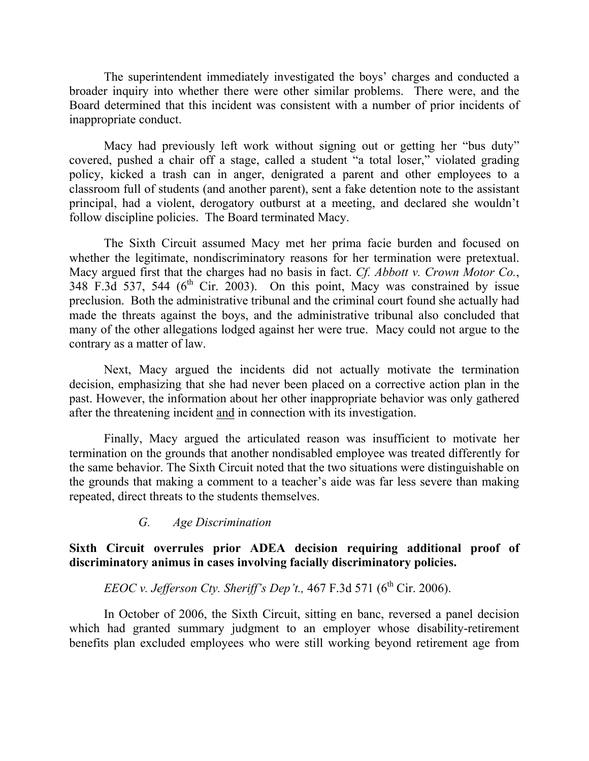The superintendent immediately investigated the boys' charges and conducted a broader inquiry into whether there were other similar problems. There were, and the Board determined that this incident was consistent with a number of prior incidents of inappropriate conduct.

Macy had previously left work without signing out or getting her "bus duty" covered, pushed a chair off a stage, called a student "a total loser," violated grading policy, kicked a trash can in anger, denigrated a parent and other employees to a classroom full of students (and another parent), sent a fake detention note to the assistant principal, had a violent, derogatory outburst at a meeting, and declared she wouldn't follow discipline policies. The Board terminated Macy.

The Sixth Circuit assumed Macy met her prima facie burden and focused on whether the legitimate, nondiscriminatory reasons for her termination were pretextual. Macy argued first that the charges had no basis in fact. *Cf. Abbott v. Crown Motor Co.*,  $348$  F.3d 537, 544 (6<sup>th</sup> Cir. 2003). On this point, Macy was constrained by issue preclusion. Both the administrative tribunal and the criminal court found she actually had made the threats against the boys, and the administrative tribunal also concluded that many of the other allegations lodged against her were true. Macy could not argue to the contrary as a matter of law.

Next, Macy argued the incidents did not actually motivate the termination decision, emphasizing that she had never been placed on a corrective action plan in the past. However, the information about her other inappropriate behavior was only gathered after the threatening incident and in connection with its investigation.

Finally, Macy argued the articulated reason was insufficient to motivate her termination on the grounds that another nondisabled employee was treated differently for the same behavior. The Sixth Circuit noted that the two situations were distinguishable on the grounds that making a comment to a teacher's aide was far less severe than making repeated, direct threats to the students themselves.

 *G. Age Discrimination* 

# **Sixth Circuit overrules prior ADEA decision requiring additional proof of discriminatory animus in cases involving facially discriminatory policies.**

# *EEOC v. Jefferson Cty. Sheriff's Dep't.*,  $467$  F.3d 571 ( $6<sup>th</sup>$  Cir. 2006).

In October of 2006, the Sixth Circuit, sitting en banc, reversed a panel decision which had granted summary judgment to an employer whose disability-retirement benefits plan excluded employees who were still working beyond retirement age from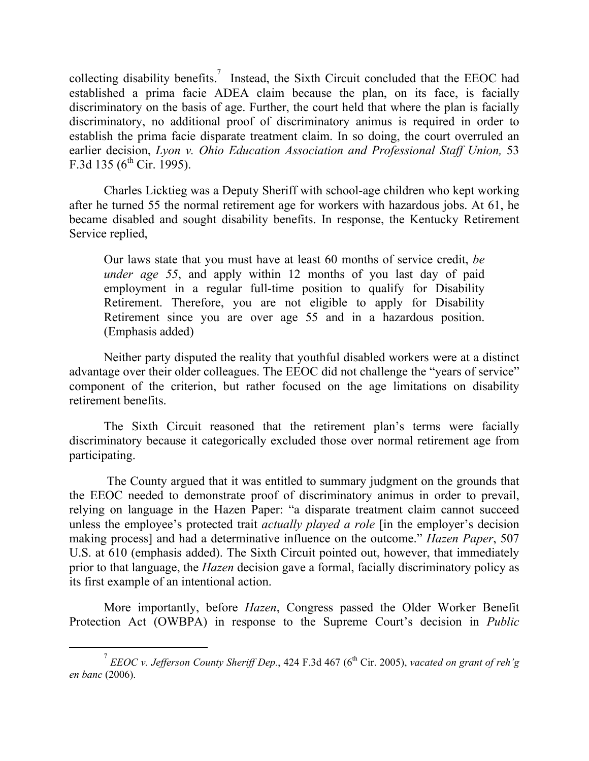collecting disability benefits.<sup>7</sup> Instead, the Sixth Circuit concluded that the EEOC had established a prima facie ADEA claim because the plan, on its face, is facially discriminatory on the basis of age. Further, the court held that where the plan is facially discriminatory, no additional proof of discriminatory animus is required in order to establish the prima facie disparate treatment claim. In so doing, the court overruled an earlier decision, *Lyon v. Ohio Education Association and Professional Staff Union*, 53 F.3d 135 ( $6^{th}$  Cir. 1995).

Charles Licktieg was a Deputy Sheriff with school-age children who kept working after he turned 55 the normal retirement age for workers with hazardous jobs. At 61, he became disabled and sought disability benefits. In response, the Kentucky Retirement Service replied,

Our laws state that you must have at least 60 months of service credit, *be under age 55*, and apply within 12 months of you last day of paid employment in a regular full-time position to qualify for Disability Retirement. Therefore, you are not eligible to apply for Disability Retirement since you are over age 55 and in a hazardous position. (Emphasis added)

Neither party disputed the reality that youthful disabled workers were at a distinct advantage over their older colleagues. The EEOC did not challenge the "years of service" component of the criterion, but rather focused on the age limitations on disability retirement benefits.

The Sixth Circuit reasoned that the retirement plan's terms were facially discriminatory because it categorically excluded those over normal retirement age from participating.

 The County argued that it was entitled to summary judgment on the grounds that the EEOC needed to demonstrate proof of discriminatory animus in order to prevail, relying on language in the Hazen Paper: "a disparate treatment claim cannot succeed unless the employee's protected trait *actually played a role* [in the employer's decision making process] and had a determinative influence on the outcome." *Hazen Paper*, 507 U.S. at 610 (emphasis added). The Sixth Circuit pointed out, however, that immediately prior to that language, the *Hazen* decision gave a formal, facially discriminatory policy as its first example of an intentional action.

More importantly, before *Hazen*, Congress passed the Older Worker Benefit Protection Act (OWBPA) in response to the Supreme Court's decision in *Public* 

 $\overline{\phantom{a}}$  $\frac{7}{1}$  *EEOC v. Jefferson County Sheriff Dep.*, 424 F.3d 467 (6<sup>th</sup> Cir. 2005), *vacated on grant of reh'g en banc* (2006).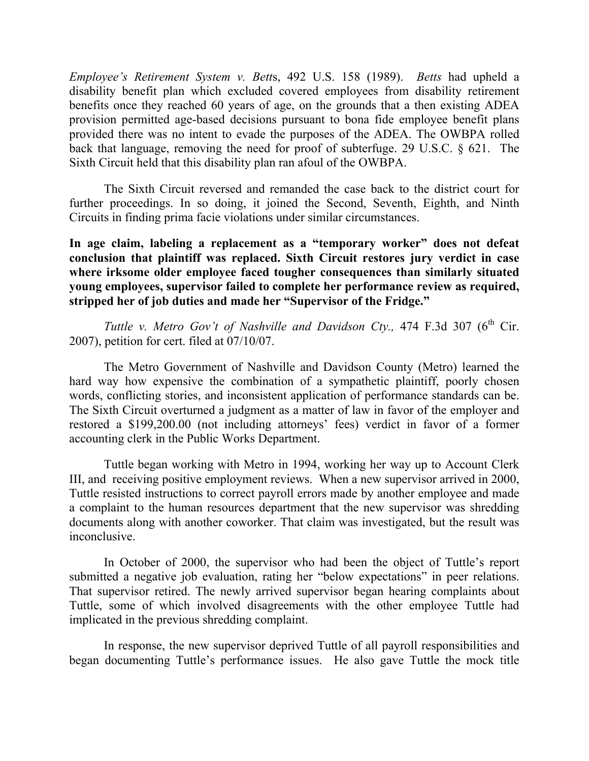*Employee's Retirement System v. Bett*s, 492 U.S. 158 (1989). *Betts* had upheld a disability benefit plan which excluded covered employees from disability retirement benefits once they reached 60 years of age, on the grounds that a then existing ADEA provision permitted age-based decisions pursuant to bona fide employee benefit plans provided there was no intent to evade the purposes of the ADEA. The OWBPA rolled back that language, removing the need for proof of subterfuge. 29 U.S.C. § 621. The Sixth Circuit held that this disability plan ran afoul of the OWBPA.

The Sixth Circuit reversed and remanded the case back to the district court for further proceedings. In so doing, it joined the Second, Seventh, Eighth, and Ninth Circuits in finding prima facie violations under similar circumstances.

**In age claim, labeling a replacement as a "temporary worker" does not defeat conclusion that plaintiff was replaced. Sixth Circuit restores jury verdict in case where irksome older employee faced tougher consequences than similarly situated young employees, supervisor failed to complete her performance review as required, stripped her of job duties and made her "Supervisor of the Fridge."** 

*Tuttle v. Metro Gov't of Nashville and Davidson Cty.,* 474 F.3d 307 (6<sup>th</sup> Cir. 2007), petition for cert. filed at 07/10/07.

The Metro Government of Nashville and Davidson County (Metro) learned the hard way how expensive the combination of a sympathetic plaintiff, poorly chosen words, conflicting stories, and inconsistent application of performance standards can be. The Sixth Circuit overturned a judgment as a matter of law in favor of the employer and restored a \$199,200.00 (not including attorneys' fees) verdict in favor of a former accounting clerk in the Public Works Department.

Tuttle began working with Metro in 1994, working her way up to Account Clerk III, and receiving positive employment reviews. When a new supervisor arrived in 2000, Tuttle resisted instructions to correct payroll errors made by another employee and made a complaint to the human resources department that the new supervisor was shredding documents along with another coworker. That claim was investigated, but the result was inconclusive.

In October of 2000, the supervisor who had been the object of Tuttle's report submitted a negative job evaluation, rating her "below expectations" in peer relations. That supervisor retired. The newly arrived supervisor began hearing complaints about Tuttle, some of which involved disagreements with the other employee Tuttle had implicated in the previous shredding complaint.

In response, the new supervisor deprived Tuttle of all payroll responsibilities and began documenting Tuttle's performance issues. He also gave Tuttle the mock title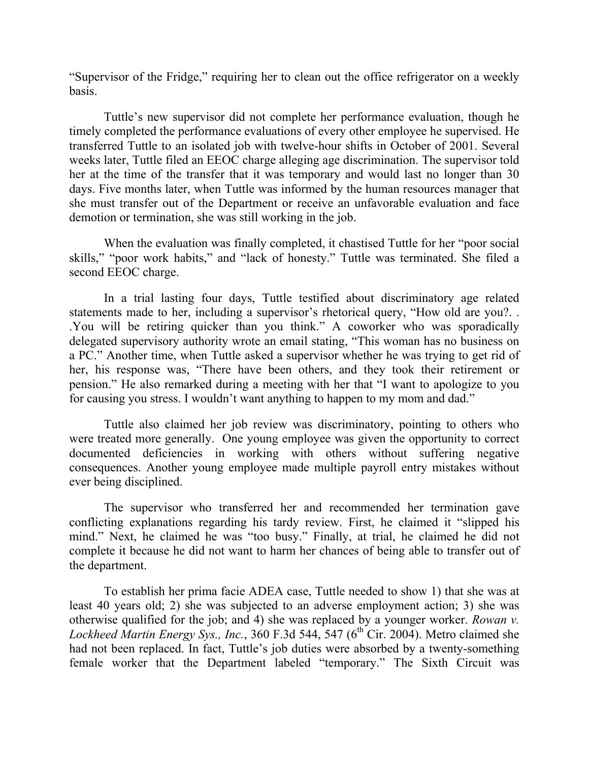"Supervisor of the Fridge," requiring her to clean out the office refrigerator on a weekly basis.

Tuttle's new supervisor did not complete her performance evaluation, though he timely completed the performance evaluations of every other employee he supervised. He transferred Tuttle to an isolated job with twelve-hour shifts in October of 2001. Several weeks later, Tuttle filed an EEOC charge alleging age discrimination. The supervisor told her at the time of the transfer that it was temporary and would last no longer than 30 days. Five months later, when Tuttle was informed by the human resources manager that she must transfer out of the Department or receive an unfavorable evaluation and face demotion or termination, she was still working in the job.

When the evaluation was finally completed, it chastised Tuttle for her "poor social skills," "poor work habits," and "lack of honesty." Tuttle was terminated. She filed a second EEOC charge.

In a trial lasting four days, Tuttle testified about discriminatory age related statements made to her, including a supervisor's rhetorical query, "How old are you?. . .You will be retiring quicker than you think." A coworker who was sporadically delegated supervisory authority wrote an email stating, "This woman has no business on a PC." Another time, when Tuttle asked a supervisor whether he was trying to get rid of her, his response was, "There have been others, and they took their retirement or pension." He also remarked during a meeting with her that "I want to apologize to you for causing you stress. I wouldn't want anything to happen to my mom and dad."

Tuttle also claimed her job review was discriminatory, pointing to others who were treated more generally. One young employee was given the opportunity to correct documented deficiencies in working with others without suffering negative consequences. Another young employee made multiple payroll entry mistakes without ever being disciplined.

The supervisor who transferred her and recommended her termination gave conflicting explanations regarding his tardy review. First, he claimed it "slipped his mind." Next, he claimed he was "too busy." Finally, at trial, he claimed he did not complete it because he did not want to harm her chances of being able to transfer out of the department.

To establish her prima facie ADEA case, Tuttle needed to show 1) that she was at least 40 years old; 2) she was subjected to an adverse employment action; 3) she was otherwise qualified for the job; and 4) she was replaced by a younger worker. *Rowan v. Lockheed Martin Energy Sys., Inc.*,  $360$  F.3d  $544$ ,  $547$  ( $6<sup>th</sup>$  Cir. 2004). Metro claimed she had not been replaced. In fact, Tuttle's job duties were absorbed by a twenty-something female worker that the Department labeled "temporary." The Sixth Circuit was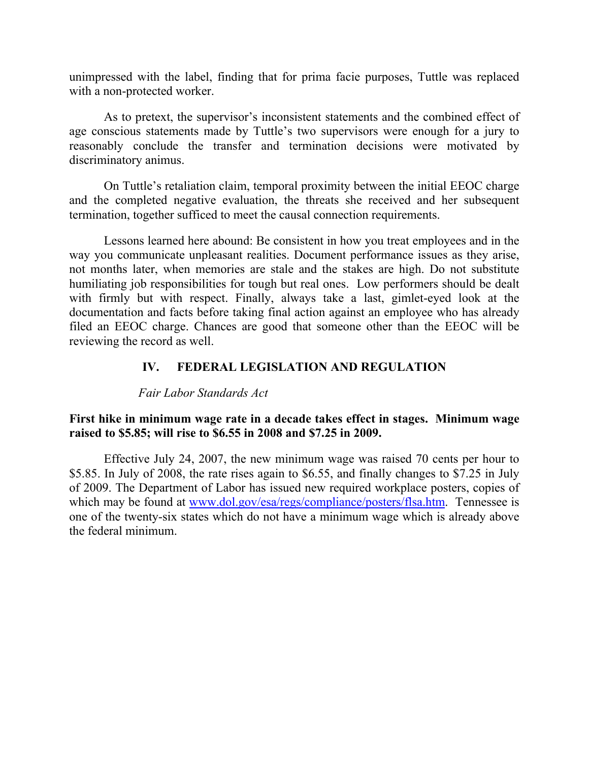unimpressed with the label, finding that for prima facie purposes, Tuttle was replaced with a non-protected worker.

As to pretext, the supervisor's inconsistent statements and the combined effect of age conscious statements made by Tuttle's two supervisors were enough for a jury to reasonably conclude the transfer and termination decisions were motivated by discriminatory animus.

On Tuttle's retaliation claim, temporal proximity between the initial EEOC charge and the completed negative evaluation, the threats she received and her subsequent termination, together sufficed to meet the causal connection requirements.

Lessons learned here abound: Be consistent in how you treat employees and in the way you communicate unpleasant realities. Document performance issues as they arise, not months later, when memories are stale and the stakes are high. Do not substitute humiliating job responsibilities for tough but real ones. Low performers should be dealt with firmly but with respect. Finally, always take a last, gimlet-eyed look at the documentation and facts before taking final action against an employee who has already filed an EEOC charge. Chances are good that someone other than the EEOC will be reviewing the record as well.

# **IV. FEDERAL LEGISLATION AND REGULATION**

#### *Fair Labor Standards Act*

### **First hike in minimum wage rate in a decade takes effect in stages. Minimum wage raised to \$5.85; will rise to \$6.55 in 2008 and \$7.25 in 2009.**

Effective July 24, 2007, the new minimum wage was raised 70 cents per hour to \$5.85. In July of 2008, the rate rises again to \$6.55, and finally changes to \$7.25 in July of 2009. The Department of Labor has issued new required workplace posters, copies of which may be found at www.dol.gov/esa/regs/compliance/posters/flsa.htm. Tennessee is one of the twenty-six states which do not have a minimum wage which is already above the federal minimum.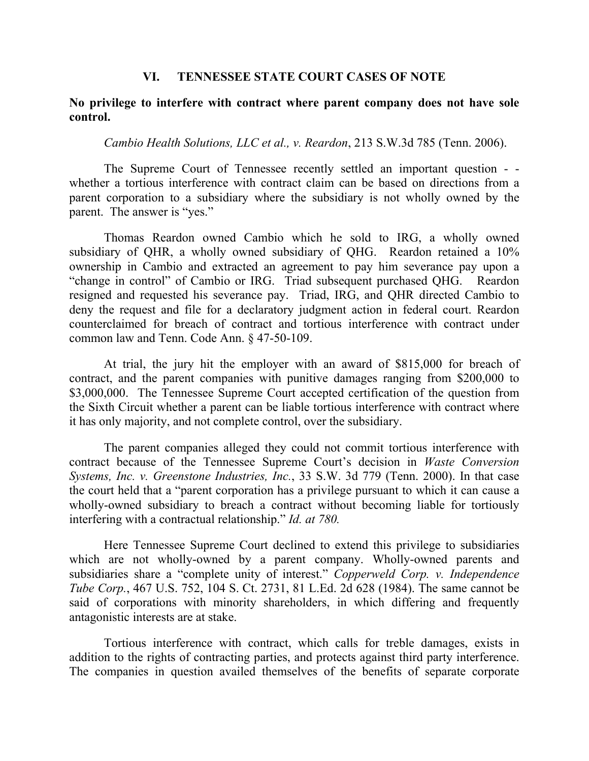#### **VI. TENNESSEE STATE COURT CASES OF NOTE**

#### **No privilege to interfere with contract where parent company does not have sole control.**

#### *Cambio Health Solutions, LLC et al., v. Reardon*, 213 S.W.3d 785 (Tenn. 2006).

The Supreme Court of Tennessee recently settled an important question - whether a tortious interference with contract claim can be based on directions from a parent corporation to a subsidiary where the subsidiary is not wholly owned by the parent. The answer is "yes."

Thomas Reardon owned Cambio which he sold to IRG, a wholly owned subsidiary of QHR, a wholly owned subsidiary of QHG. Reardon retained a 10% ownership in Cambio and extracted an agreement to pay him severance pay upon a "change in control" of Cambio or IRG. Triad subsequent purchased QHG. Reardon resigned and requested his severance pay. Triad, IRG, and QHR directed Cambio to deny the request and file for a declaratory judgment action in federal court. Reardon counterclaimed for breach of contract and tortious interference with contract under common law and Tenn. Code Ann. § 47-50-109.

At trial, the jury hit the employer with an award of \$815,000 for breach of contract, and the parent companies with punitive damages ranging from \$200,000 to \$3,000,000. The Tennessee Supreme Court accepted certification of the question from the Sixth Circuit whether a parent can be liable tortious interference with contract where it has only majority, and not complete control, over the subsidiary.

The parent companies alleged they could not commit tortious interference with contract because of the Tennessee Supreme Court's decision in *Waste Conversion Systems, Inc. v. Greenstone Industries, Inc.*, 33 S.W. 3d 779 (Tenn. 2000). In that case the court held that a "parent corporation has a privilege pursuant to which it can cause a wholly-owned subsidiary to breach a contract without becoming liable for tortiously interfering with a contractual relationship." *Id. at 780.* 

Here Tennessee Supreme Court declined to extend this privilege to subsidiaries which are not wholly-owned by a parent company. Wholly-owned parents and subsidiaries share a "complete unity of interest." *Copperweld Corp. v. Independence Tube Corp.*, 467 U.S. 752, 104 S. Ct. 2731, 81 L.Ed. 2d 628 (1984). The same cannot be said of corporations with minority shareholders, in which differing and frequently antagonistic interests are at stake.

Tortious interference with contract, which calls for treble damages, exists in addition to the rights of contracting parties, and protects against third party interference. The companies in question availed themselves of the benefits of separate corporate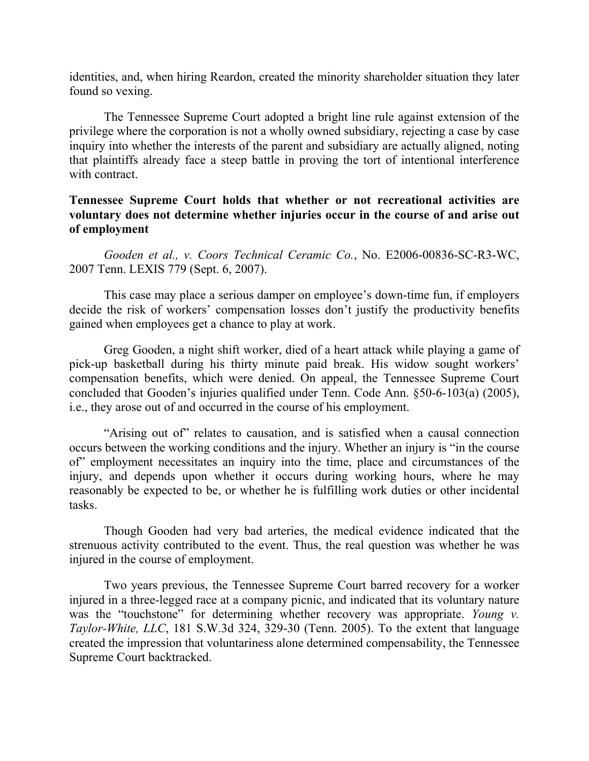identities, and, when hiring Reardon, created the minority shareholder situation they later found so vexing.

The Tennessee Supreme Court adopted a bright line rule against extension of the privilege where the corporation is not a wholly owned subsidiary, rejecting a case by case inquiry into whether the interests of the parent and subsidiary are actually aligned, noting that plaintiffs already face a steep battle in proving the tort of intentional interference with contract.

## **Tennessee Supreme Court holds that whether or not recreational activities are voluntary does not determine whether injuries occur in the course of and arise out of employment**

*Gooden et al., v. Coors Technical Ceramic Co.*, No. E2006-00836-SC-R3-WC, 2007 Tenn. LEXIS 779 (Sept. 6, 2007).

This case may place a serious damper on employee's down-time fun, if employers decide the risk of workers' compensation losses don't justify the productivity benefits gained when employees get a chance to play at work.

Greg Gooden, a night shift worker, died of a heart attack while playing a game of pick-up basketball during his thirty minute paid break. His widow sought workers' compensation benefits, which were denied. On appeal, the Tennessee Supreme Court concluded that Gooden's injuries qualified under Tenn. Code Ann. §50-6-103(a) (2005), i.e., they arose out of and occurred in the course of his employment.

"Arising out of" relates to causation, and is satisfied when a causal connection occurs between the working conditions and the injury. Whether an injury is "in the course of" employment necessitates an inquiry into the time, place and circumstances of the injury, and depends upon whether it occurs during working hours, where he may reasonably be expected to be, or whether he is fulfilling work duties or other incidental tasks.

Though Gooden had very bad arteries, the medical evidence indicated that the strenuous activity contributed to the event. Thus, the real question was whether he was injured in the course of employment.

Two years previous, the Tennessee Supreme Court barred recovery for a worker injured in a three-legged race at a company picnic, and indicated that its voluntary nature was the "touchstone" for determining whether recovery was appropriate. *Young v. Taylor-White, LLC*, 181 S.W.3d 324, 329-30 (Tenn. 2005). To the extent that language created the impression that voluntariness alone determined compensability, the Tennessee Supreme Court backtracked.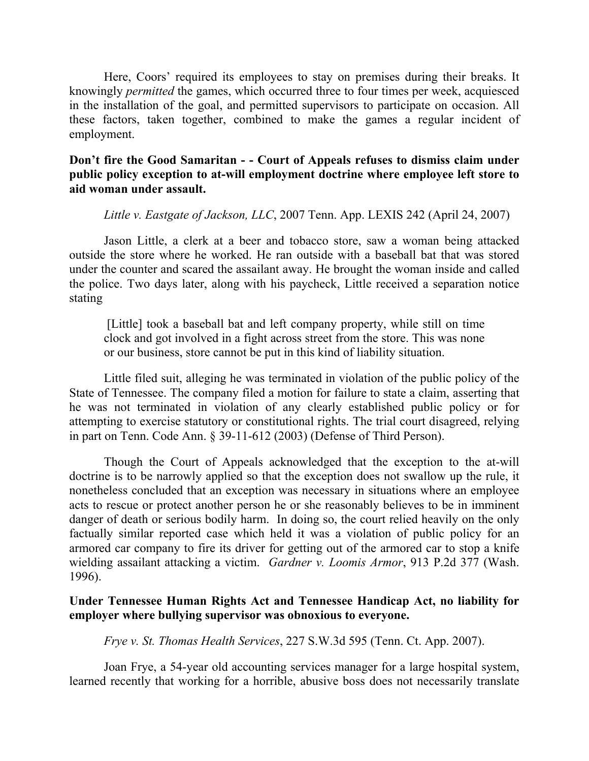Here, Coors' required its employees to stay on premises during their breaks. It knowingly *permitted* the games, which occurred three to four times per week, acquiesced in the installation of the goal, and permitted supervisors to participate on occasion. All these factors, taken together, combined to make the games a regular incident of employment.

# **Don't fire the Good Samaritan - - Court of Appeals refuses to dismiss claim under public policy exception to at-will employment doctrine where employee left store to aid woman under assault.**

*Little v. Eastgate of Jackson, LLC*, 2007 Tenn. App. LEXIS 242 (April 24, 2007)

Jason Little, a clerk at a beer and tobacco store, saw a woman being attacked outside the store where he worked. He ran outside with a baseball bat that was stored under the counter and scared the assailant away. He brought the woman inside and called the police. Two days later, along with his paycheck, Little received a separation notice stating

 [Little] took a baseball bat and left company property, while still on time clock and got involved in a fight across street from the store. This was none or our business, store cannot be put in this kind of liability situation.

Little filed suit, alleging he was terminated in violation of the public policy of the State of Tennessee. The company filed a motion for failure to state a claim, asserting that he was not terminated in violation of any clearly established public policy or for attempting to exercise statutory or constitutional rights. The trial court disagreed, relying in part on Tenn. Code Ann. § 39-11-612 (2003) (Defense of Third Person).

Though the Court of Appeals acknowledged that the exception to the at-will doctrine is to be narrowly applied so that the exception does not swallow up the rule, it nonetheless concluded that an exception was necessary in situations where an employee acts to rescue or protect another person he or she reasonably believes to be in imminent danger of death or serious bodily harm. In doing so, the court relied heavily on the only factually similar reported case which held it was a violation of public policy for an armored car company to fire its driver for getting out of the armored car to stop a knife wielding assailant attacking a victim. *Gardner v. Loomis Armor*, 913 P.2d 377 (Wash. 1996).

### **Under Tennessee Human Rights Act and Tennessee Handicap Act, no liability for employer where bullying supervisor was obnoxious to everyone.**

*Frye v. St. Thomas Health Services*, 227 S.W.3d 595 (Tenn. Ct. App. 2007).

Joan Frye, a 54-year old accounting services manager for a large hospital system, learned recently that working for a horrible, abusive boss does not necessarily translate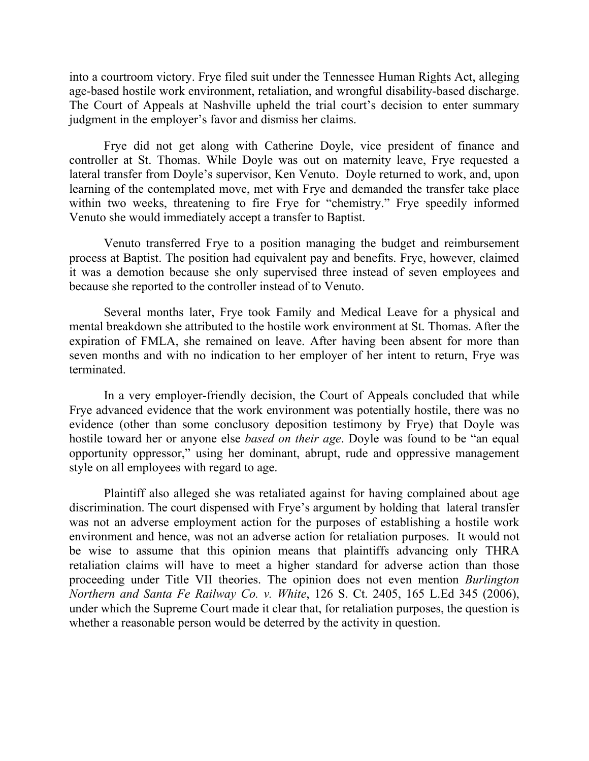into a courtroom victory. Frye filed suit under the Tennessee Human Rights Act, alleging age-based hostile work environment, retaliation, and wrongful disability-based discharge. The Court of Appeals at Nashville upheld the trial court's decision to enter summary judgment in the employer's favor and dismiss her claims.

Frye did not get along with Catherine Doyle, vice president of finance and controller at St. Thomas. While Doyle was out on maternity leave, Frye requested a lateral transfer from Doyle's supervisor, Ken Venuto. Doyle returned to work, and, upon learning of the contemplated move, met with Frye and demanded the transfer take place within two weeks, threatening to fire Frye for "chemistry." Frye speedily informed Venuto she would immediately accept a transfer to Baptist.

Venuto transferred Frye to a position managing the budget and reimbursement process at Baptist. The position had equivalent pay and benefits. Frye, however, claimed it was a demotion because she only supervised three instead of seven employees and because she reported to the controller instead of to Venuto.

Several months later, Frye took Family and Medical Leave for a physical and mental breakdown she attributed to the hostile work environment at St. Thomas. After the expiration of FMLA, she remained on leave. After having been absent for more than seven months and with no indication to her employer of her intent to return, Frye was terminated.

In a very employer-friendly decision, the Court of Appeals concluded that while Frye advanced evidence that the work environment was potentially hostile, there was no evidence (other than some conclusory deposition testimony by Frye) that Doyle was hostile toward her or anyone else *based on their age*. Doyle was found to be "an equal opportunity oppressor," using her dominant, abrupt, rude and oppressive management style on all employees with regard to age.

Plaintiff also alleged she was retaliated against for having complained about age discrimination. The court dispensed with Frye's argument by holding that lateral transfer was not an adverse employment action for the purposes of establishing a hostile work environment and hence, was not an adverse action for retaliation purposes. It would not be wise to assume that this opinion means that plaintiffs advancing only THRA retaliation claims will have to meet a higher standard for adverse action than those proceeding under Title VII theories. The opinion does not even mention *Burlington Northern and Santa Fe Railway Co. v. White*, 126 S. Ct. 2405, 165 L.Ed 345 (2006), under which the Supreme Court made it clear that, for retaliation purposes, the question is whether a reasonable person would be deterred by the activity in question.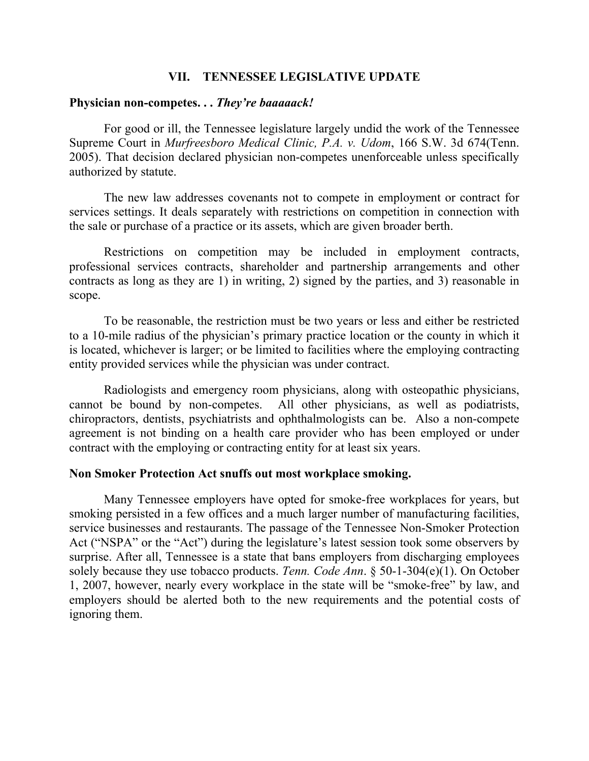#### **VII. TENNESSEE LEGISLATIVE UPDATE**

#### **Physician non-competes. . .** *They're baaaaack!*

For good or ill, the Tennessee legislature largely undid the work of the Tennessee Supreme Court in *Murfreesboro Medical Clinic, P.A. v. Udom*, 166 S.W. 3d 674(Tenn. 2005). That decision declared physician non-competes unenforceable unless specifically authorized by statute.

The new law addresses covenants not to compete in employment or contract for services settings. It deals separately with restrictions on competition in connection with the sale or purchase of a practice or its assets, which are given broader berth.

Restrictions on competition may be included in employment contracts, professional services contracts, shareholder and partnership arrangements and other contracts as long as they are 1) in writing, 2) signed by the parties, and 3) reasonable in scope.

To be reasonable, the restriction must be two years or less and either be restricted to a 10-mile radius of the physician's primary practice location or the county in which it is located, whichever is larger; or be limited to facilities where the employing contracting entity provided services while the physician was under contract.

Radiologists and emergency room physicians, along with osteopathic physicians, cannot be bound by non-competes. All other physicians, as well as podiatrists, chiropractors, dentists, psychiatrists and ophthalmologists can be. Also a non-compete agreement is not binding on a health care provider who has been employed or under contract with the employing or contracting entity for at least six years.

#### **Non Smoker Protection Act snuffs out most workplace smoking.**

Many Tennessee employers have opted for smoke-free workplaces for years, but smoking persisted in a few offices and a much larger number of manufacturing facilities, service businesses and restaurants. The passage of the Tennessee Non-Smoker Protection Act ("NSPA" or the "Act") during the legislature's latest session took some observers by surprise. After all, Tennessee is a state that bans employers from discharging employees solely because they use tobacco products. *Tenn. Code Ann*. § 50-1-304(e)(1). On October 1, 2007, however, nearly every workplace in the state will be "smoke-free" by law, and employers should be alerted both to the new requirements and the potential costs of ignoring them.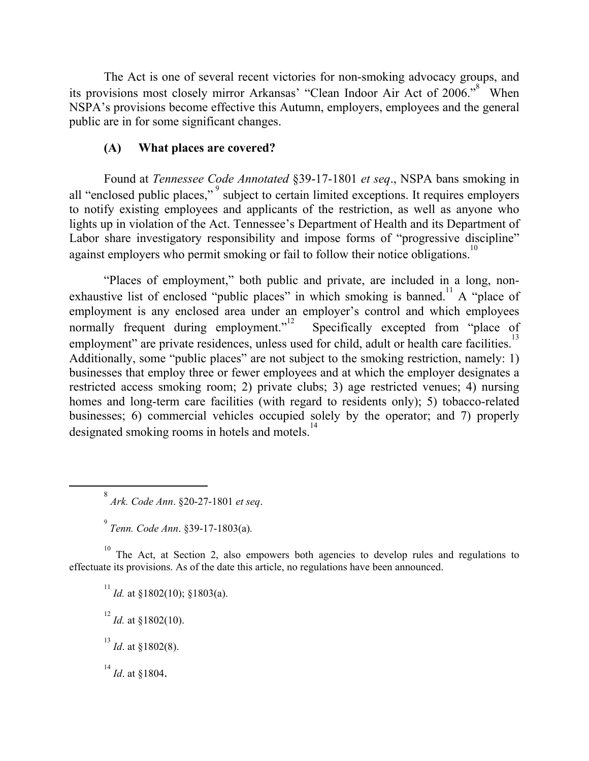The Act is one of several recent victories for non-smoking advocacy groups, and its provisions most closely mirror Arkansas' "Clean Indoor Air Act of 2006."<sup>8</sup> When NSPA's provisions become effective this Autumn, employers, employees and the general public are in for some significant changes.

# **(A) What places are covered?**

Found at *Tennessee Code Annotated* §39-17-1801 *et seq*., NSPA bans smoking in all "enclosed public places,"<sup>9</sup> subject to certain limited exceptions. It requires employers to notify existing employees and applicants of the restriction, as well as anyone who lights up in violation of the Act. Tennessee's Department of Health and its Department of Labor share investigatory responsibility and impose forms of "progressive discipline" against employers who permit smoking or fail to follow their notice obligations.<sup>10</sup>

"Places of employment," both public and private, are included in a long, nonexhaustive list of enclosed "public places" in which smoking is banned.<sup>11</sup> A "place of employment is any enclosed area under an employer's control and which employees normally frequent during employment."<sup>12</sup> Specifically excepted from "place of employment" are private residences, unless used for child, adult or health care facilities.<sup>13</sup> Additionally, some "public places" are not subject to the smoking restriction, namely: 1) businesses that employ three or fewer employees and at which the employer designates a restricted access smoking room; 2) private clubs; 3) age restricted venues; 4) nursing homes and long-term care facilities (with regard to residents only); 5) tobacco-related businesses; 6) commercial vehicles occupied solely by the operator; and 7) properly designated smoking rooms in hotels and motels.<sup>14</sup>

<sup>10</sup> The Act, at Section 2, also empowers both agencies to develop rules and regulations to effectuate its provisions. As of the date this article, no regulations have been announced.

<sup>11</sup> *Id.* at §1802(10); §1803(a).  $^{12}$  *Id.* at §1802(10).  $^{13}$  *Id.* at §1802(8).  $^{14}$  *Id.* at §1804.

 $\frac{1}{8}$ *Ark. Code Ann*. §20-27-1801 *et seq*.

<sup>9</sup> *Tenn. Code Ann*. §39-17-1803(a)*.*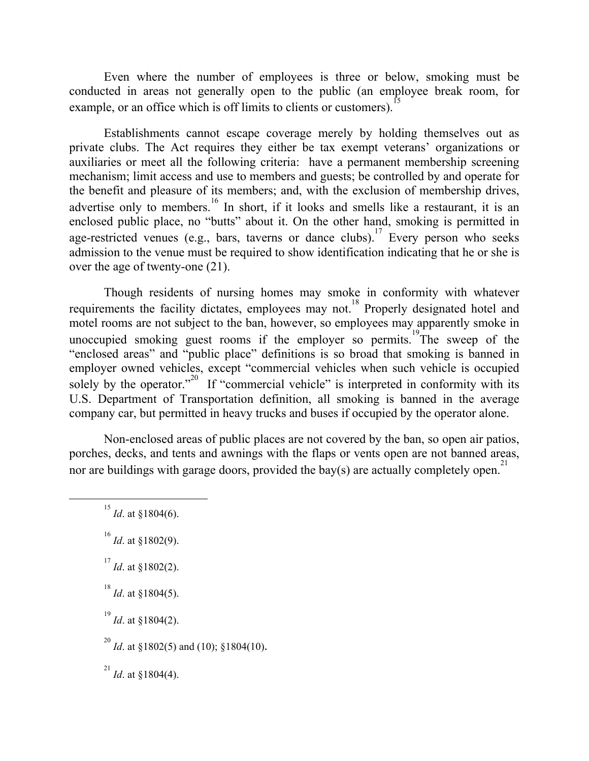Even where the number of employees is three or below, smoking must be conducted in areas not generally open to the public (an employee break room, for example, or an office which is off limits to clients or customers).

Establishments cannot escape coverage merely by holding themselves out as private clubs. The Act requires they either be tax exempt veterans' organizations or auxiliaries or meet all the following criteria: have a permanent membership screening mechanism; limit access and use to members and guests; be controlled by and operate for the benefit and pleasure of its members; and, with the exclusion of membership drives, advertise only to members.<sup>16</sup> In short, if it looks and smells like a restaurant, it is an enclosed public place, no "butts" about it. On the other hand, smoking is permitted in age-restricted venues (e.g., bars, taverns or dance clubs).<sup>17</sup> Every person who seeks admission to the venue must be required to show identification indicating that he or she is over the age of twenty-one (21).

Though residents of nursing homes may smoke in conformity with whatever requirements the facility dictates, employees may not.<sup>18</sup> Properly designated hotel and motel rooms are not subject to the ban, however, so employees may apparently smoke in unoccupied smoking guest rooms if the employer so permits.<sup>19</sup>The sweep of the "enclosed areas" and "public place" definitions is so broad that smoking is banned in employer owned vehicles, except "commercial vehicles when such vehicle is occupied solely by the operator."<sup>20</sup> If "commercial vehicle" is interpreted in conformity with its U.S. Department of Transportation definition, all smoking is banned in the average company car, but permitted in heavy trucks and buses if occupied by the operator alone.

Non-enclosed areas of public places are not covered by the ban, so open air patios, porches, decks, and tents and awnings with the flaps or vents open are not banned areas, nor are buildings with garage doors, provided the bay(s) are actually completely open.<sup>21</sup>

 $\frac{15}{15}$ *Id*. at §1804(6). 16 *Id*. at §1802(9).  $^{17}$  *Id.* at §1802(2).  $^{18}$  *Id.* at §1804(5). 19 *Id*. at §1804(2). 20 *Id*. at §1802(5) and (10); §1804(10).  $^{21}$  *Id.* at §1804(4).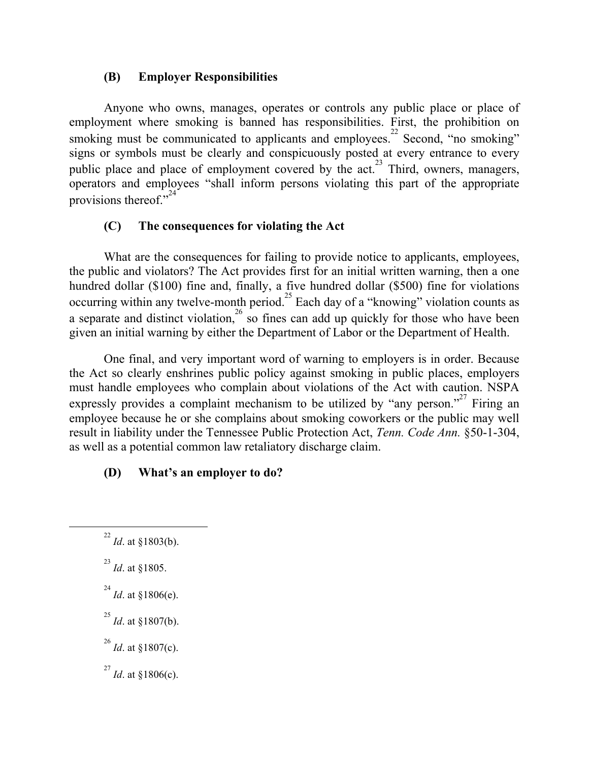# **(B) Employer Responsibilities**

Anyone who owns, manages, operates or controls any public place or place of employment where smoking is banned has responsibilities. First, the prohibition on smoking must be communicated to applicants and employees.<sup>22</sup> Second, "no smoking" signs or symbols must be clearly and conspicuously posted at every entrance to every public place and place of employment covered by the act.<sup>23</sup> Third, owners, managers, operators and employees "shall inform persons violating this part of the appropriate provisions thereof." $24$ 

# **(C) The consequences for violating the Act**

What are the consequences for failing to provide notice to applicants, employees, the public and violators? The Act provides first for an initial written warning, then a one hundred dollar (\$100) fine and, finally, a five hundred dollar (\$500) fine for violations occurring within any twelve-month period.<sup>25</sup> Each day of a "knowing" violation counts as a separate and distinct violation,<sup>26</sup> so fines can add up quickly for those who have been given an initial warning by either the Department of Labor or the Department of Health.

One final, and very important word of warning to employers is in order. Because the Act so clearly enshrines public policy against smoking in public places, employers must handle employees who complain about violations of the Act with caution. NSPA expressly provides a complaint mechanism to be utilized by "any person."<sup>27</sup> Firing an employee because he or she complains about smoking coworkers or the public may well result in liability under the Tennessee Public Protection Act, *Tenn. Code Ann.* §50-1-304, as well as a potential common law retaliatory discharge claim.

# **(D) What's an employer to do?**

- $\frac{22}{2}$ *Id*. at §1803(b).
	- 23 *Id*. at §1805.
	- $^{24}$  *Id.* at §1806(e).
	- 25 *Id*. at §1807(b).
	- 26 *Id*. at §1807(c).
	- $^{27}$  *Id.* at §1806(c).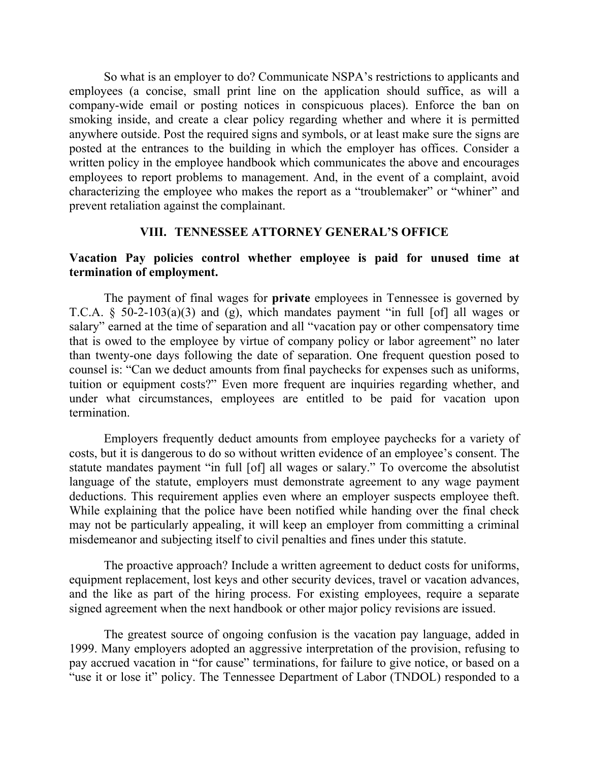So what is an employer to do? Communicate NSPA's restrictions to applicants and employees (a concise, small print line on the application should suffice, as will a company-wide email or posting notices in conspicuous places). Enforce the ban on smoking inside, and create a clear policy regarding whether and where it is permitted anywhere outside. Post the required signs and symbols, or at least make sure the signs are posted at the entrances to the building in which the employer has offices. Consider a written policy in the employee handbook which communicates the above and encourages employees to report problems to management. And, in the event of a complaint, avoid characterizing the employee who makes the report as a "troublemaker" or "whiner" and prevent retaliation against the complainant.

### **VIII. TENNESSEE ATTORNEY GENERAL'S OFFICE**

## **Vacation Pay policies control whether employee is paid for unused time at termination of employment.**

The payment of final wages for **private** employees in Tennessee is governed by T.C.A.  $\S$  50-2-103(a)(3) and (g), which mandates payment "in full [of] all wages or salary" earned at the time of separation and all "vacation pay or other compensatory time that is owed to the employee by virtue of company policy or labor agreement" no later than twenty-one days following the date of separation. One frequent question posed to counsel is: "Can we deduct amounts from final paychecks for expenses such as uniforms, tuition or equipment costs?" Even more frequent are inquiries regarding whether, and under what circumstances, employees are entitled to be paid for vacation upon termination.

Employers frequently deduct amounts from employee paychecks for a variety of costs, but it is dangerous to do so without written evidence of an employee's consent. The statute mandates payment "in full [of] all wages or salary." To overcome the absolutist language of the statute, employers must demonstrate agreement to any wage payment deductions. This requirement applies even where an employer suspects employee theft. While explaining that the police have been notified while handing over the final check may not be particularly appealing, it will keep an employer from committing a criminal misdemeanor and subjecting itself to civil penalties and fines under this statute.

The proactive approach? Include a written agreement to deduct costs for uniforms, equipment replacement, lost keys and other security devices, travel or vacation advances, and the like as part of the hiring process. For existing employees, require a separate signed agreement when the next handbook or other major policy revisions are issued.

The greatest source of ongoing confusion is the vacation pay language, added in 1999. Many employers adopted an aggressive interpretation of the provision, refusing to pay accrued vacation in "for cause" terminations, for failure to give notice, or based on a "use it or lose it" policy. The Tennessee Department of Labor (TNDOL) responded to a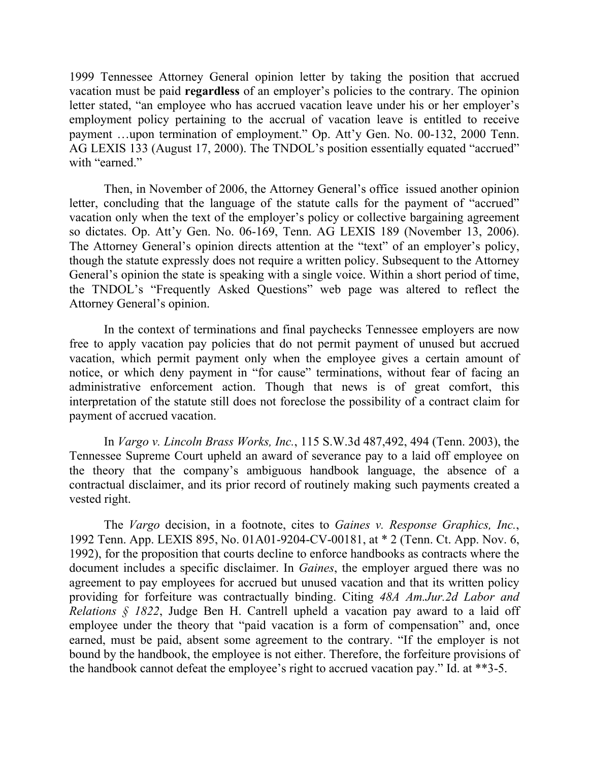1999 Tennessee Attorney General opinion letter by taking the position that accrued vacation must be paid **regardless** of an employer's policies to the contrary. The opinion letter stated, "an employee who has accrued vacation leave under his or her employer's employment policy pertaining to the accrual of vacation leave is entitled to receive payment …upon termination of employment." Op. Att'y Gen. No. 00-132, 2000 Tenn. AG LEXIS 133 (August 17, 2000). The TNDOL's position essentially equated "accrued" with "earned."

Then, in November of 2006, the Attorney General's office issued another opinion letter, concluding that the language of the statute calls for the payment of "accrued" vacation only when the text of the employer's policy or collective bargaining agreement so dictates. Op. Att'y Gen. No. 06-169, Tenn. AG LEXIS 189 (November 13, 2006). The Attorney General's opinion directs attention at the "text" of an employer's policy, though the statute expressly does not require a written policy. Subsequent to the Attorney General's opinion the state is speaking with a single voice. Within a short period of time, the TNDOL's "Frequently Asked Questions" web page was altered to reflect the Attorney General's opinion.

In the context of terminations and final paychecks Tennessee employers are now free to apply vacation pay policies that do not permit payment of unused but accrued vacation, which permit payment only when the employee gives a certain amount of notice, or which deny payment in "for cause" terminations, without fear of facing an administrative enforcement action. Though that news is of great comfort, this interpretation of the statute still does not foreclose the possibility of a contract claim for payment of accrued vacation.

In *Vargo v. Lincoln Brass Works, Inc.*, 115 S.W.3d 487,492, 494 (Tenn. 2003), the Tennessee Supreme Court upheld an award of severance pay to a laid off employee on the theory that the company's ambiguous handbook language, the absence of a contractual disclaimer, and its prior record of routinely making such payments created a vested right.

The *Vargo* decision, in a footnote, cites to *Gaines v. Response Graphics, Inc.*, 1992 Tenn. App. LEXIS 895, No. 01A01-9204-CV-00181, at \* 2 (Tenn. Ct. App. Nov. 6, 1992), for the proposition that courts decline to enforce handbooks as contracts where the document includes a specific disclaimer. In *Gaines*, the employer argued there was no agreement to pay employees for accrued but unused vacation and that its written policy providing for forfeiture was contractually binding. Citing *48A Am.Jur.2d Labor and Relations § 1822*, Judge Ben H. Cantrell upheld a vacation pay award to a laid off employee under the theory that "paid vacation is a form of compensation" and, once earned, must be paid, absent some agreement to the contrary. "If the employer is not bound by the handbook, the employee is not either. Therefore, the forfeiture provisions of the handbook cannot defeat the employee's right to accrued vacation pay." Id. at \*\*3-5.